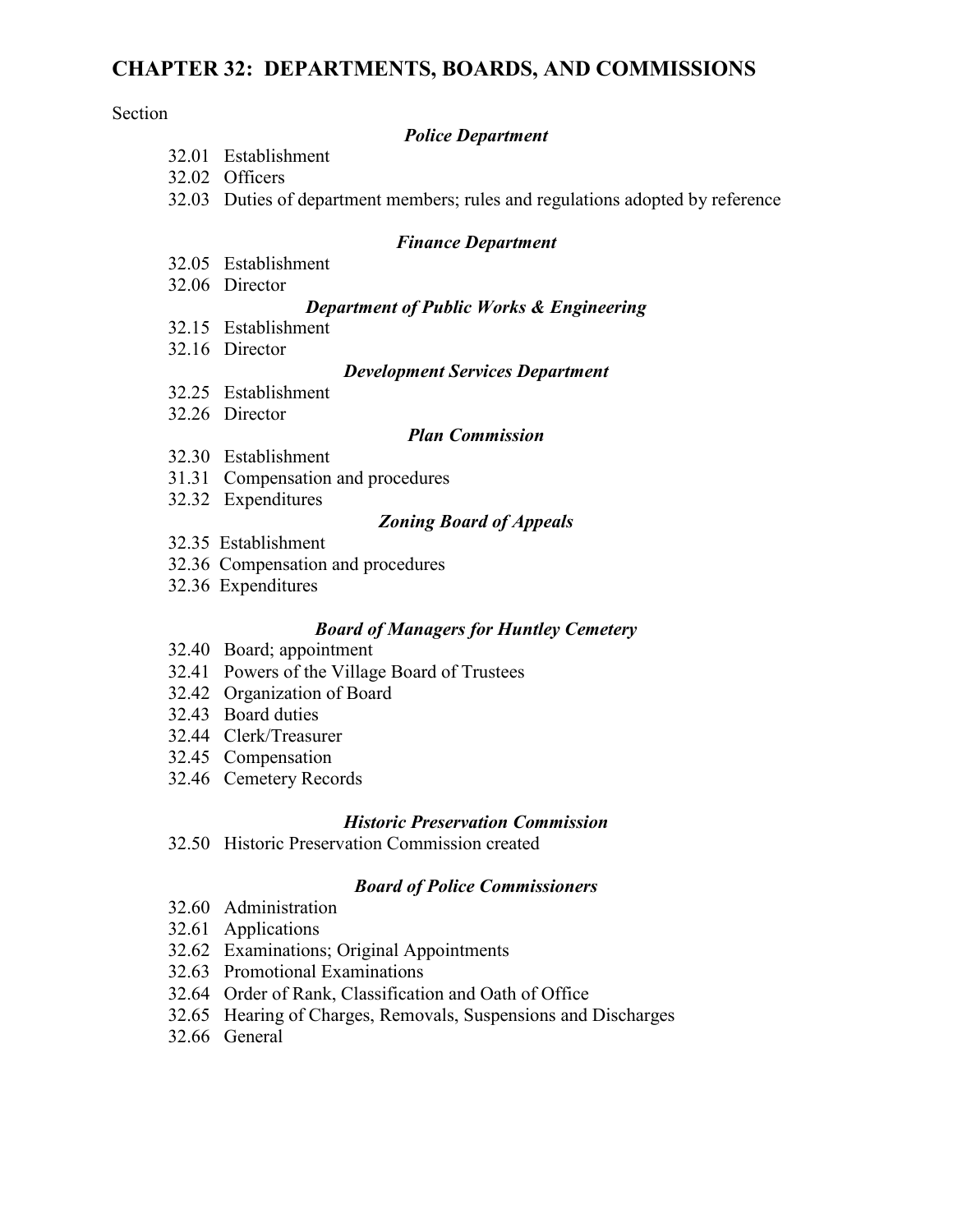# **CHAPTER 32: DEPARTMENTS, BOARDS, AND COMMISSIONS**

#### Section

#### *Police Department*

- 32.01 Establishment
- 32.02 Officers
- 32.03 Duties of department members; rules and regulations adopted by reference

#### *Finance Department*

- 32.05 Establishment
- 32.06 Director

### *Department of Public Works & Engineering*

- 32.15 Establishment
- 32.16 Director

### *Development Services Department*

- 32.25 Establishment
- 32.26 Director

## *Plan Commission*

- 32.30 Establishment
- 31.31 Compensation and procedures
- 32.32 Expenditures

### *Zoning Board of Appeals*

- 32.35 Establishment
- 32.36 Compensation and procedures
- 32.36 Expenditures

### *Board of Managers for Huntley Cemetery*

- 32.40 Board; appointment
- 32.41 Powers of the Village Board of Trustees
- 32.42 Organization of Board
- 32.43 Board duties
- 32.44 Clerk/Treasurer
- 32.45 Compensation
- 32.46 Cemetery Records

### *Historic Preservation Commission*

32.50 Historic Preservation Commission created

#### *Board of Police Commissioners*

- 32.60 Administration
- 32.61 Applications
- 32.62 Examinations; Original Appointments
- 32.63 Promotional Examinations
- 32.64 Order of Rank, Classification and Oath of Office
- 32.65 Hearing of Charges, Removals, Suspensions and Discharges
- 32.66 General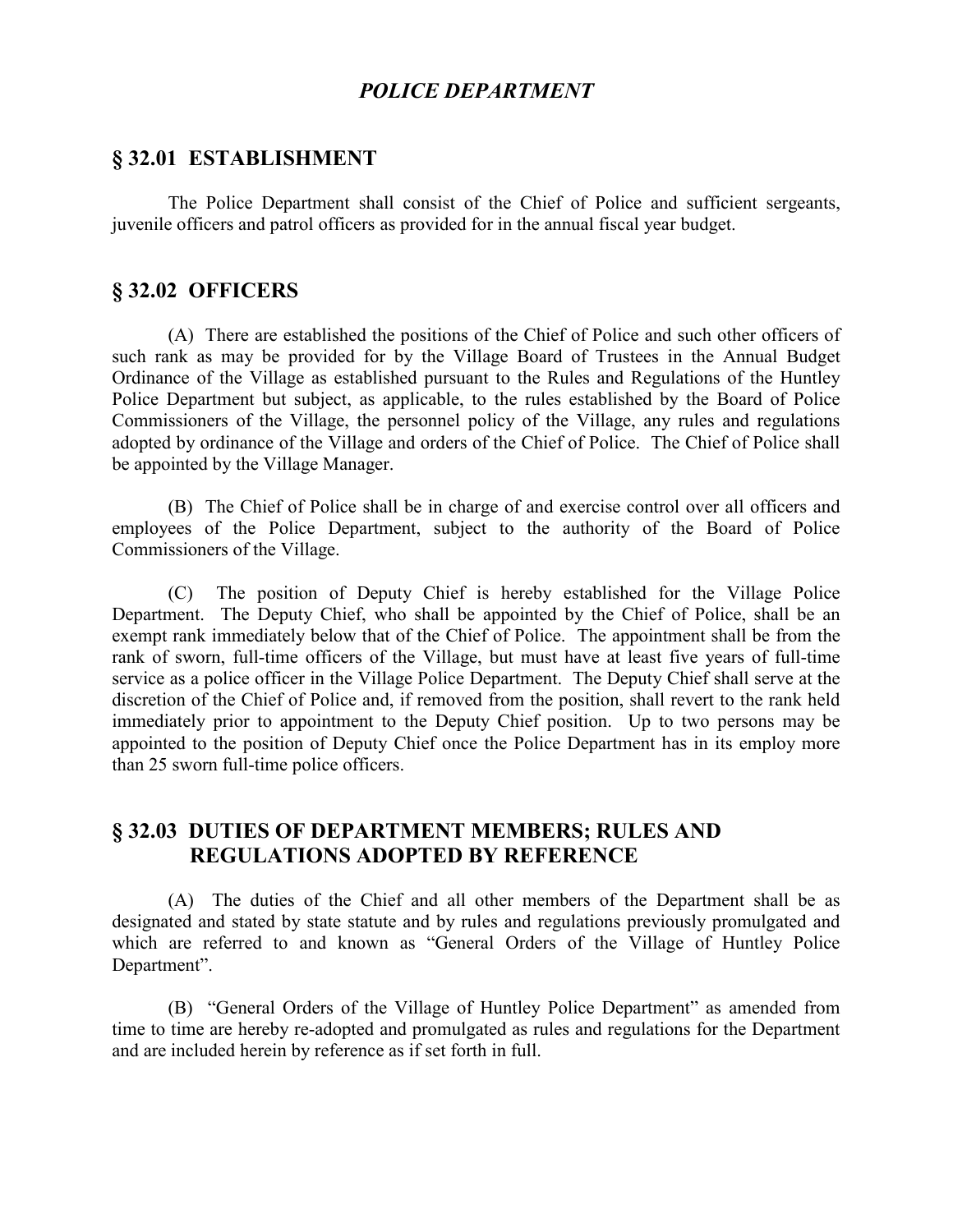# *POLICE DEPARTMENT*

### **§ 32.01 ESTABLISHMENT**

The Police Department shall consist of the Chief of Police and sufficient sergeants, juvenile officers and patrol officers as provided for in the annual fiscal year budget.

# **§ 32.02 OFFICERS**

(A) There are established the positions of the Chief of Police and such other officers of such rank as may be provided for by the Village Board of Trustees in the Annual Budget Ordinance of the Village as established pursuant to the Rules and Regulations of the Huntley Police Department but subject, as applicable, to the rules established by the Board of Police Commissioners of the Village, the personnel policy of the Village, any rules and regulations adopted by ordinance of the Village and orders of the Chief of Police. The Chief of Police shall be appointed by the Village Manager.

(B) The Chief of Police shall be in charge of and exercise control over all officers and employees of the Police Department, subject to the authority of the Board of Police Commissioners of the Village.

(C) The position of Deputy Chief is hereby established for the Village Police Department. The Deputy Chief, who shall be appointed by the Chief of Police, shall be an exempt rank immediately below that of the Chief of Police. The appointment shall be from the rank of sworn, full-time officers of the Village, but must have at least five years of full-time service as a police officer in the Village Police Department. The Deputy Chief shall serve at the discretion of the Chief of Police and, if removed from the position, shall revert to the rank held immediately prior to appointment to the Deputy Chief position. Up to two persons may be appointed to the position of Deputy Chief once the Police Department has in its employ more than 25 sworn full-time police officers.

# **§ 32.03 DUTIES OF DEPARTMENT MEMBERS; RULES AND REGULATIONS ADOPTED BY REFERENCE**

(A) The duties of the Chief and all other members of the Department shall be as designated and stated by state statute and by rules and regulations previously promulgated and which are referred to and known as "General Orders of the Village of Huntley Police Department".

(B) "General Orders of the Village of Huntley Police Department" as amended from time to time are hereby re-adopted and promulgated as rules and regulations for the Department and are included herein by reference as if set forth in full.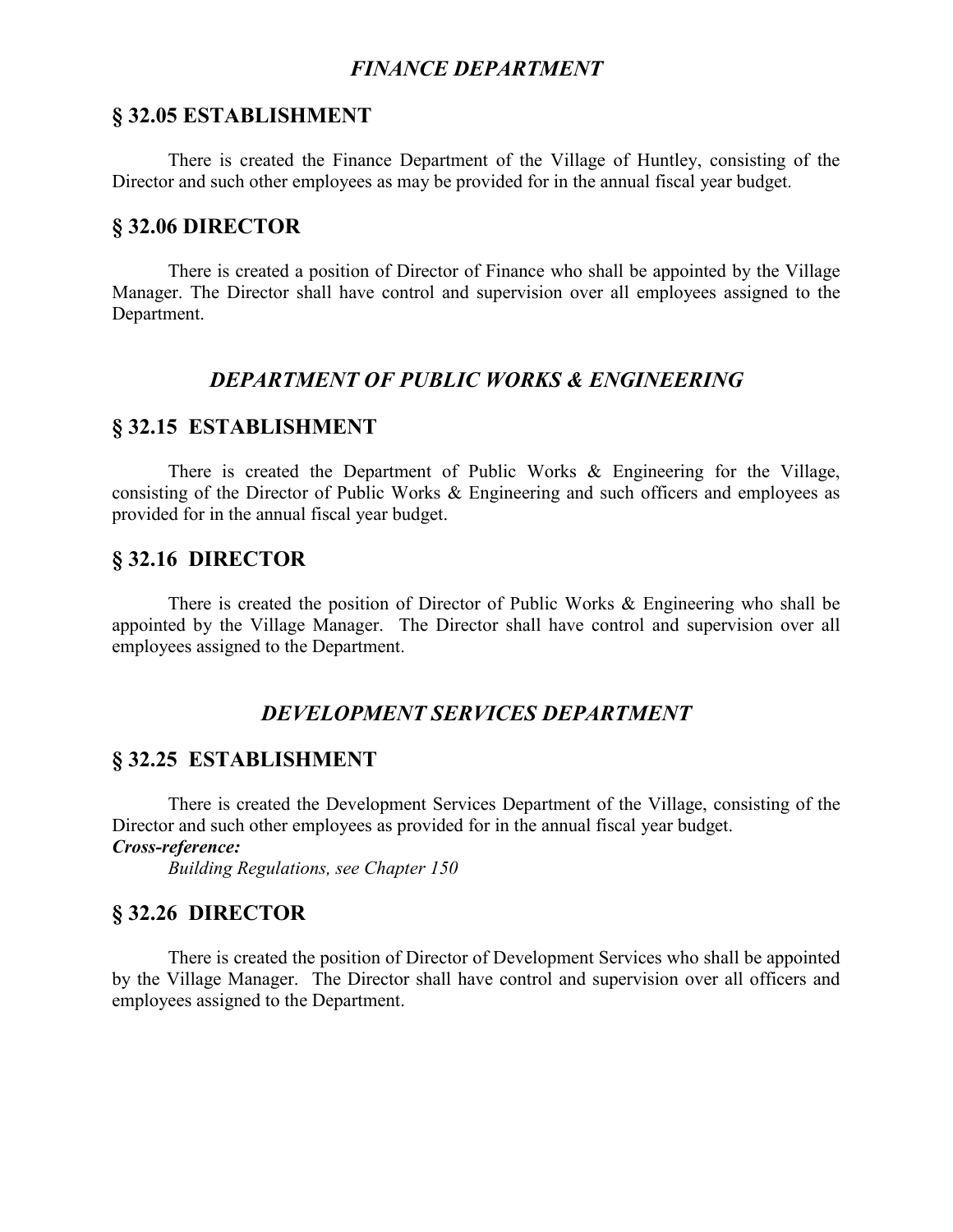# *FINANCE DEPARTMENT*

## **§ 32.05 ESTABLISHMENT**

There is created the Finance Department of the Village of Huntley, consisting of the Director and such other employees as may be provided for in the annual fiscal year budget.

# **§ 32.06 DIRECTOR**

There is created a position of Director of Finance who shall be appointed by the Village Manager. The Director shall have control and supervision over all employees assigned to the Department.

# *DEPARTMENT OF PUBLIC WORKS & ENGINEERING*

## **§ 32.15 ESTABLISHMENT**

There is created the Department of Public Works & Engineering for the Village, consisting of the Director of Public Works & Engineering and such officers and employees as provided for in the annual fiscal year budget.

# **§ 32.16 DIRECTOR**

There is created the position of Director of Public Works & Engineering who shall be appointed by the Village Manager. The Director shall have control and supervision over all employees assigned to the Department.

# *DEVELOPMENT SERVICES DEPARTMENT*

# **§ 32.25 ESTABLISHMENT**

There is created the Development Services Department of the Village, consisting of the Director and such other employees as provided for in the annual fiscal year budget.

## *Cross-reference:*

*Building Regulations, see Chapter 150*

# **§ 32.26 DIRECTOR**

There is created the position of Director of Development Services who shall be appointed by the Village Manager. The Director shall have control and supervision over all officers and employees assigned to the Department.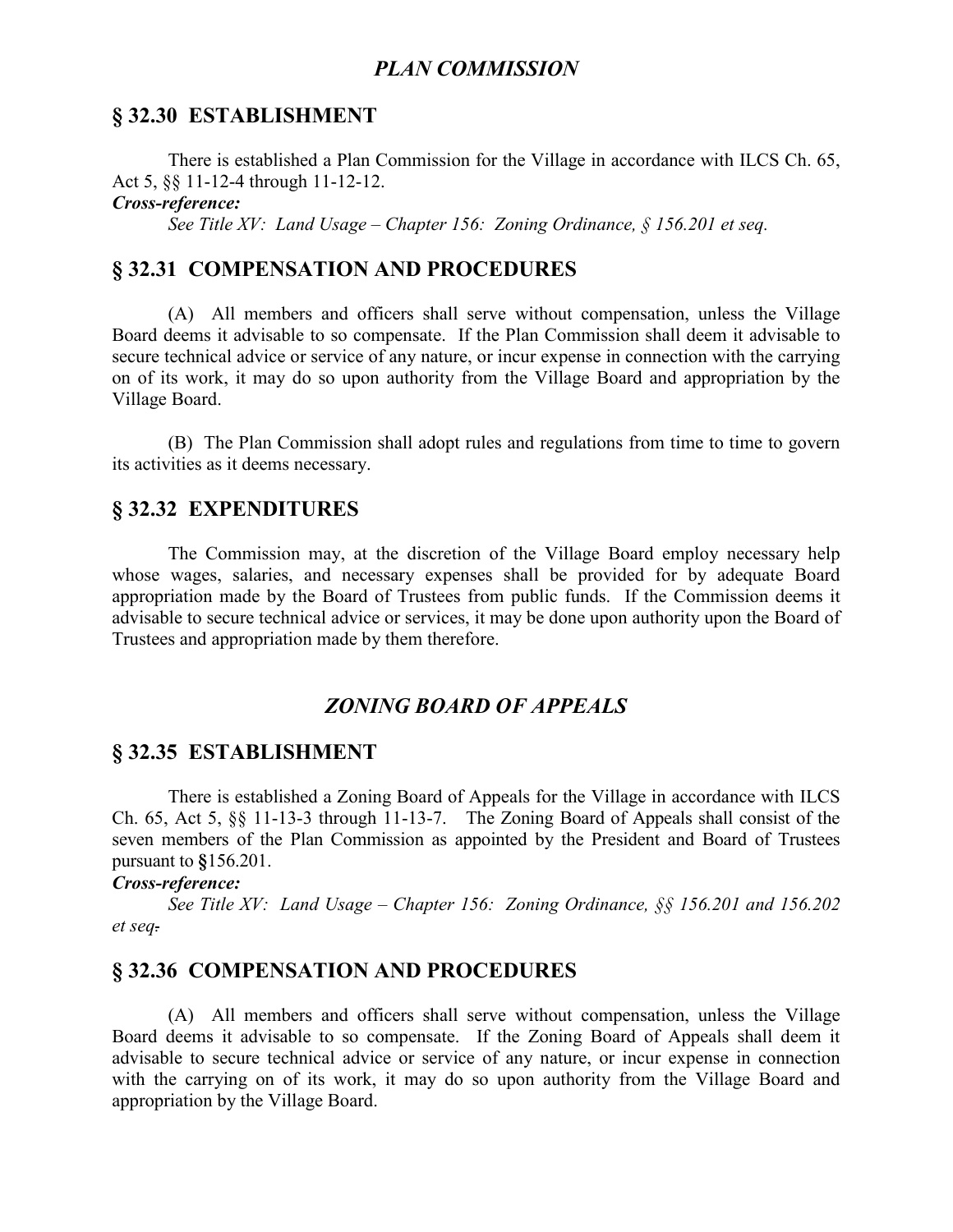## *PLAN COMMISSION*

## **§ 32.30 ESTABLISHMENT**

There is established a Plan Commission for the Village in accordance with ILCS Ch. 65, Act 5, §§ 11-12-4 through 11-12-12.

*Cross-reference:*

*See Title XV: Land Usage – Chapter 156: Zoning Ordinance, § 156.201 et seq.*

# **§ 32.31 COMPENSATION AND PROCEDURES**

(A) All members and officers shall serve without compensation, unless the Village Board deems it advisable to so compensate. If the Plan Commission shall deem it advisable to secure technical advice or service of any nature, or incur expense in connection with the carrying on of its work, it may do so upon authority from the Village Board and appropriation by the Village Board.

(B) The Plan Commission shall adopt rules and regulations from time to time to govern its activities as it deems necessary.

## **§ 32.32 EXPENDITURES**

The Commission may, at the discretion of the Village Board employ necessary help whose wages, salaries, and necessary expenses shall be provided for by adequate Board appropriation made by the Board of Trustees from public funds. If the Commission deems it advisable to secure technical advice or services, it may be done upon authority upon the Board of Trustees and appropriation made by them therefore.

# *ZONING BOARD OF APPEALS*

### **§ 32.35 ESTABLISHMENT**

There is established a Zoning Board of Appeals for the Village in accordance with ILCS Ch. 65, Act 5, §§ 11-13-3 through 11-13-7. The Zoning Board of Appeals shall consist of the seven members of the Plan Commission as appointed by the President and Board of Trustees pursuant to **§**156.201.

#### *Cross-reference:*

*See Title XV: Land Usage – Chapter 156: Zoning Ordinance, §§ 156.201 and 156.202 et seq.*

# **§ 32.36 COMPENSATION AND PROCEDURES**

(A) All members and officers shall serve without compensation, unless the Village Board deems it advisable to so compensate. If the Zoning Board of Appeals shall deem it advisable to secure technical advice or service of any nature, or incur expense in connection with the carrying on of its work, it may do so upon authority from the Village Board and appropriation by the Village Board.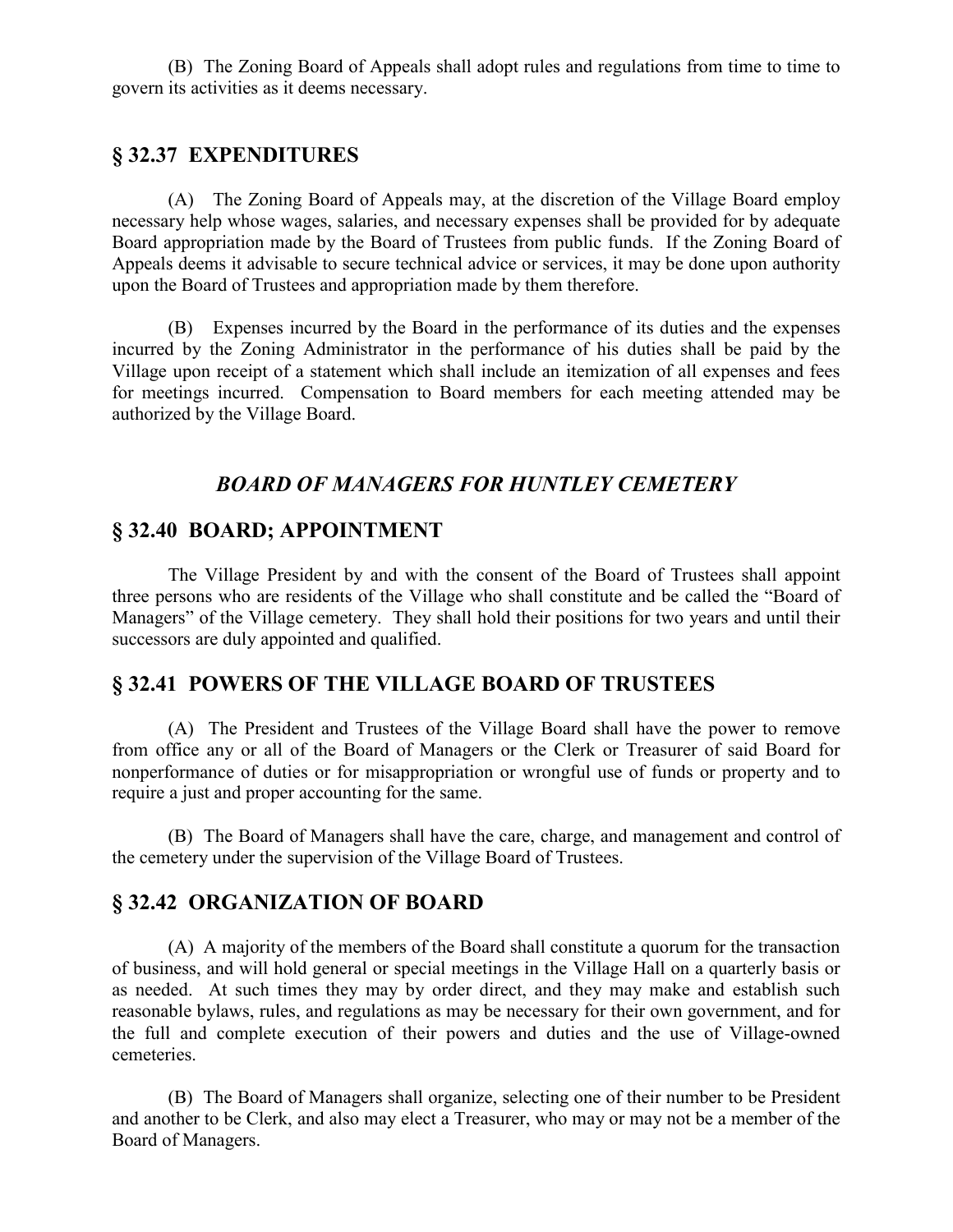(B) The Zoning Board of Appeals shall adopt rules and regulations from time to time to govern its activities as it deems necessary.

# **§ 32.37 EXPENDITURES**

(A) The Zoning Board of Appeals may, at the discretion of the Village Board employ necessary help whose wages, salaries, and necessary expenses shall be provided for by adequate Board appropriation made by the Board of Trustees from public funds. If the Zoning Board of Appeals deems it advisable to secure technical advice or services, it may be done upon authority upon the Board of Trustees and appropriation made by them therefore.

(B) Expenses incurred by the Board in the performance of its duties and the expenses incurred by the Zoning Administrator in the performance of his duties shall be paid by the Village upon receipt of a statement which shall include an itemization of all expenses and fees for meetings incurred. Compensation to Board members for each meeting attended may be authorized by the Village Board.

# *BOARD OF MANAGERS FOR HUNTLEY CEMETERY*

## **§ 32.40 BOARD; APPOINTMENT**

The Village President by and with the consent of the Board of Trustees shall appoint three persons who are residents of the Village who shall constitute and be called the "Board of Managers" of the Village cemetery. They shall hold their positions for two years and until their successors are duly appointed and qualified.

# **§ 32.41 POWERS OF THE VILLAGE BOARD OF TRUSTEES**

(A) The President and Trustees of the Village Board shall have the power to remove from office any or all of the Board of Managers or the Clerk or Treasurer of said Board for nonperformance of duties or for misappropriation or wrongful use of funds or property and to require a just and proper accounting for the same.

(B) The Board of Managers shall have the care, charge, and management and control of the cemetery under the supervision of the Village Board of Trustees.

## **§ 32.42 ORGANIZATION OF BOARD**

(A) A majority of the members of the Board shall constitute a quorum for the transaction of business, and will hold general or special meetings in the Village Hall on a quarterly basis or as needed. At such times they may by order direct, and they may make and establish such reasonable bylaws, rules, and regulations as may be necessary for their own government, and for the full and complete execution of their powers and duties and the use of Village-owned cemeteries.

(B) The Board of Managers shall organize, selecting one of their number to be President and another to be Clerk, and also may elect a Treasurer, who may or may not be a member of the Board of Managers.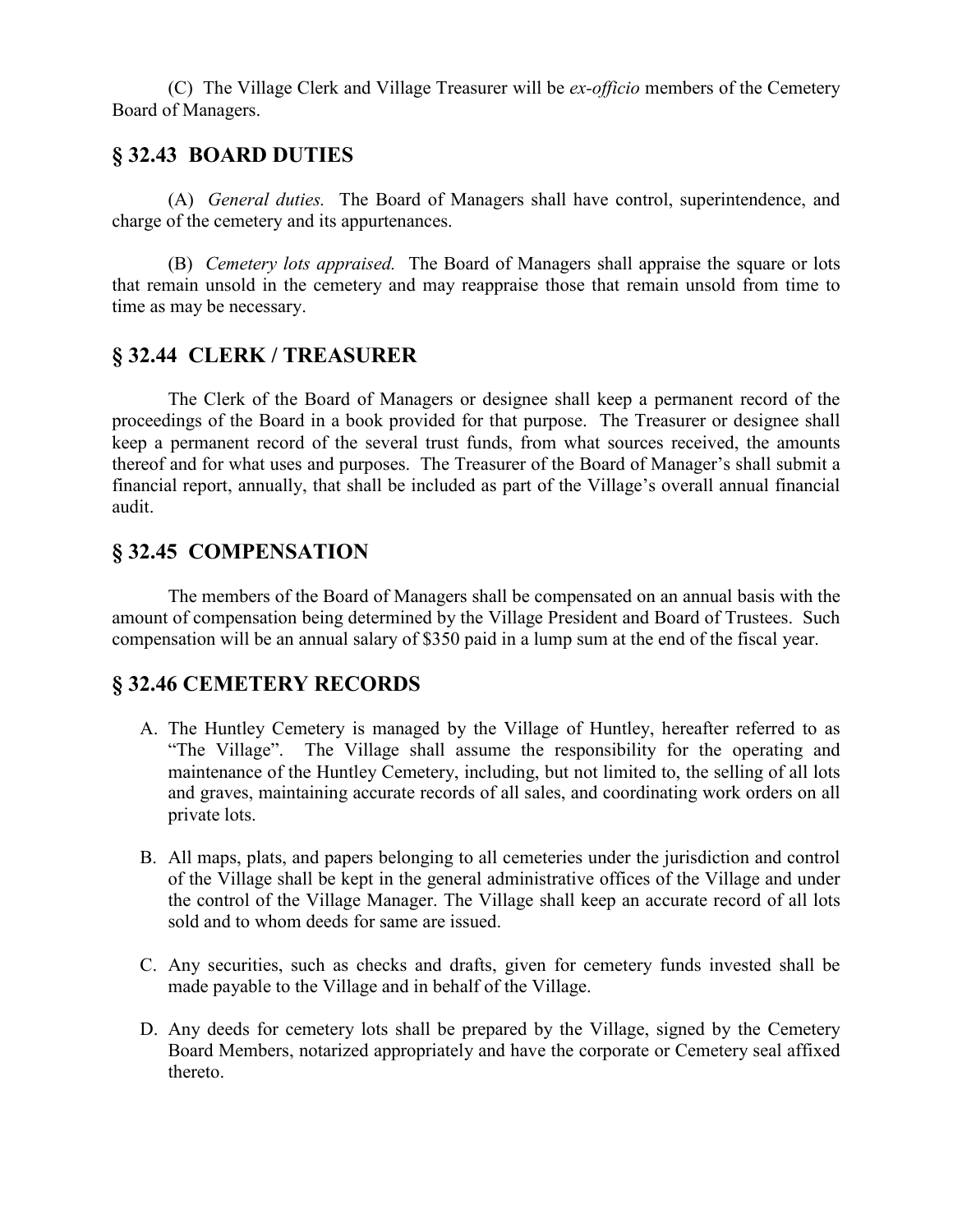(C) The Village Clerk and Village Treasurer will be *ex-officio* members of the Cemetery Board of Managers.

# **§ 32.43 BOARD DUTIES**

(A) *General duties.* The Board of Managers shall have control, superintendence, and charge of the cemetery and its appurtenances.

(B) *Cemetery lots appraised.* The Board of Managers shall appraise the square or lots that remain unsold in the cemetery and may reappraise those that remain unsold from time to time as may be necessary.

# **§ 32.44 CLERK / TREASURER**

The Clerk of the Board of Managers or designee shall keep a permanent record of the proceedings of the Board in a book provided for that purpose. The Treasurer or designee shall keep a permanent record of the several trust funds, from what sources received, the amounts thereof and for what uses and purposes. The Treasurer of the Board of Manager's shall submit a financial report, annually, that shall be included as part of the Village's overall annual financial audit.

# **§ 32.45 COMPENSATION**

The members of the Board of Managers shall be compensated on an annual basis with the amount of compensation being determined by the Village President and Board of Trustees. Such compensation will be an annual salary of \$350 paid in a lump sum at the end of the fiscal year.

# **§ 32.46 CEMETERY RECORDS**

- A. The Huntley Cemetery is managed by the Village of Huntley, hereafter referred to as "The Village". The Village shall assume the responsibility for the operating and maintenance of the Huntley Cemetery, including, but not limited to, the selling of all lots and graves, maintaining accurate records of all sales, and coordinating work orders on all private lots.
- B. All maps, plats, and papers belonging to all cemeteries under the jurisdiction and control of the Village shall be kept in the general administrative offices of the Village and under the control of the Village Manager. The Village shall keep an accurate record of all lots sold and to whom deeds for same are issued.
- C. Any securities, such as checks and drafts, given for cemetery funds invested shall be made payable to the Village and in behalf of the Village.
- D. Any deeds for cemetery lots shall be prepared by the Village, signed by the Cemetery Board Members, notarized appropriately and have the corporate or Cemetery seal affixed thereto.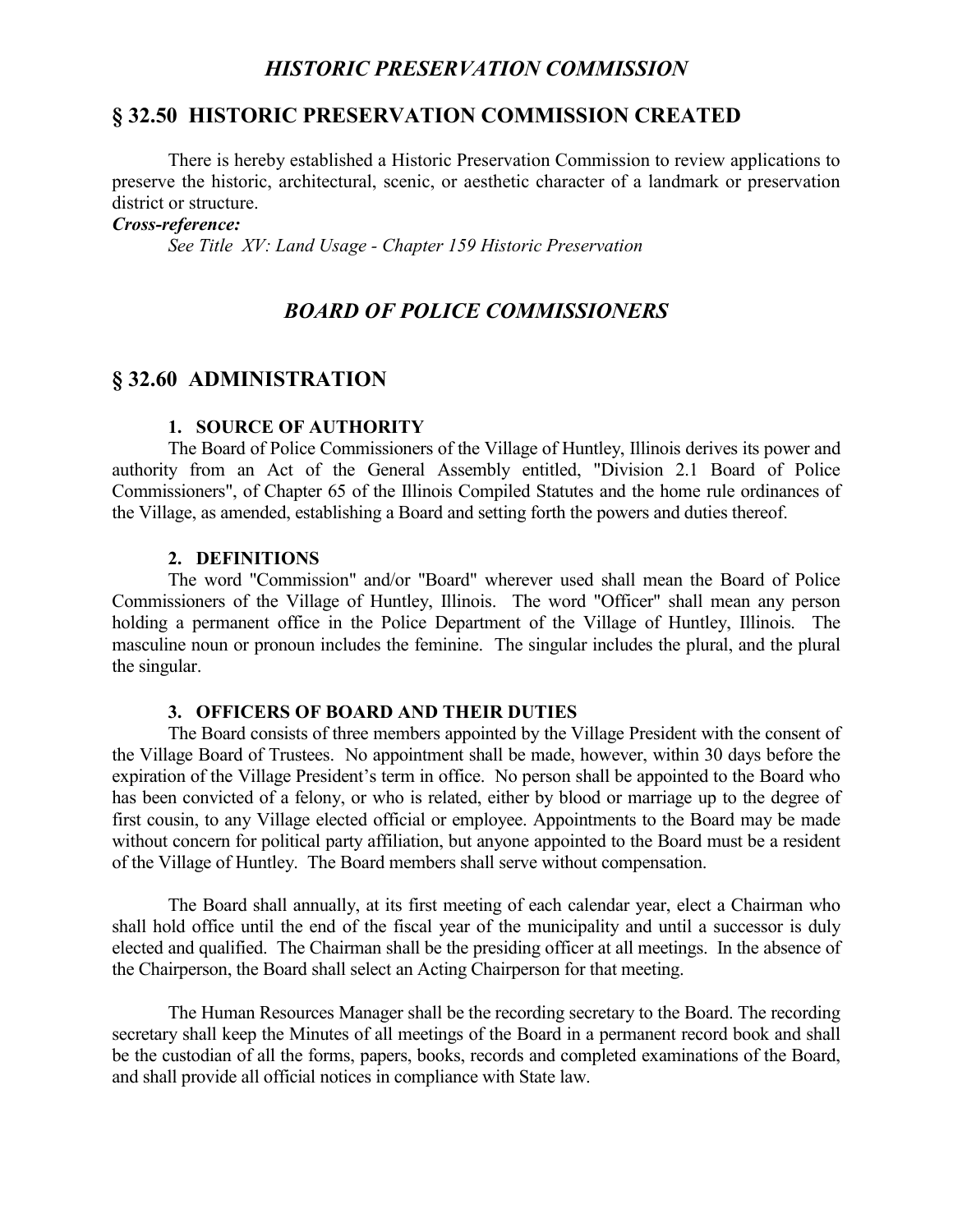# *HISTORIC PRESERVATION COMMISSION*

# **§ 32.50 HISTORIC PRESERVATION COMMISSION CREATED**

There is hereby established a Historic Preservation Commission to review applications to preserve the historic, architectural, scenic, or aesthetic character of a landmark or preservation district or structure.

#### *Cross-reference:*

*See Title XV: Land Usage - Chapter 159 Historic Preservation*

# *BOARD OF POLICE COMMISSIONERS*

### **§ 32.60 ADMINISTRATION**

#### **1. SOURCE OF AUTHORITY**

The Board of Police Commissioners of the Village of Huntley, Illinois derives its power and authority from an Act of the General Assembly entitled, "Division 2.1 Board of Police Commissioners", of Chapter 65 of the Illinois Compiled Statutes and the home rule ordinances of the Village, as amended, establishing a Board and setting forth the powers and duties thereof.

#### **2. DEFINITIONS**

The word "Commission" and/or "Board" wherever used shall mean the Board of Police Commissioners of the Village of Huntley, Illinois. The word "Officer" shall mean any person holding a permanent office in the Police Department of the Village of Huntley, Illinois. The masculine noun or pronoun includes the feminine. The singular includes the plural, and the plural the singular.

#### **3. OFFICERS OF BOARD AND THEIR DUTIES**

The Board consists of three members appointed by the Village President with the consent of the Village Board of Trustees. No appointment shall be made, however, within 30 days before the expiration of the Village President's term in office. No person shall be appointed to the Board who has been convicted of a felony, or who is related, either by blood or marriage up to the degree of first cousin, to any Village elected official or employee. Appointments to the Board may be made without concern for political party affiliation, but anyone appointed to the Board must be a resident of the Village of Huntley. The Board members shall serve without compensation.

The Board shall annually, at its first meeting of each calendar year, elect a Chairman who shall hold office until the end of the fiscal year of the municipality and until a successor is duly elected and qualified. The Chairman shall be the presiding officer at all meetings. In the absence of the Chairperson, the Board shall select an Acting Chairperson for that meeting.

The Human Resources Manager shall be the recording secretary to the Board. The recording secretary shall keep the Minutes of all meetings of the Board in a permanent record book and shall be the custodian of all the forms, papers, books, records and completed examinations of the Board, and shall provide all official notices in compliance with State law.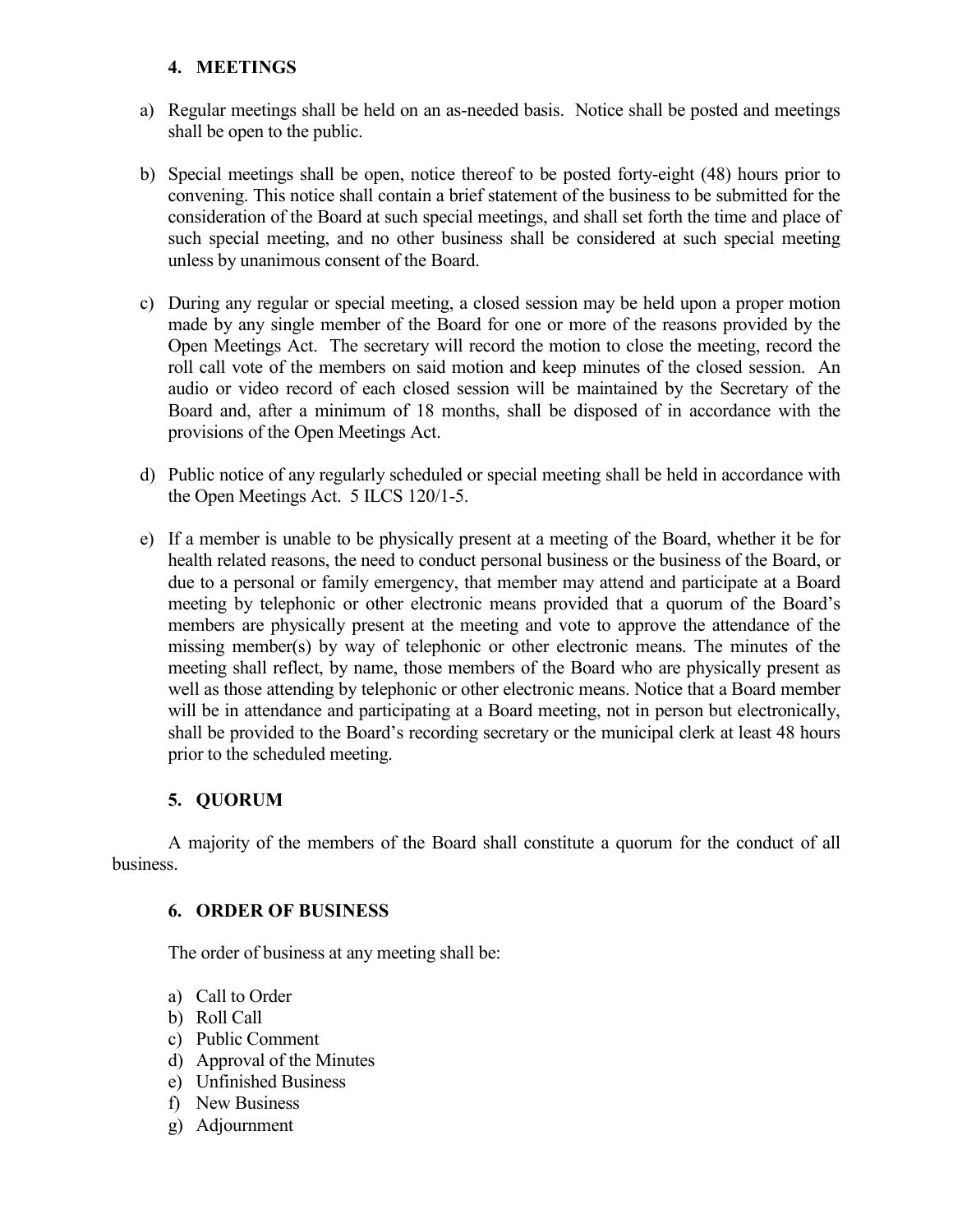## **4. MEETINGS**

- a) Regular meetings shall be held on an as-needed basis. Notice shall be posted and meetings shall be open to the public.
- b) Special meetings shall be open, notice thereof to be posted forty-eight (48) hours prior to convening. This notice shall contain a brief statement of the business to be submitted for the consideration of the Board at such special meetings, and shall set forth the time and place of such special meeting, and no other business shall be considered at such special meeting unless by unanimous consent of the Board.
- c) During any regular or special meeting, a closed session may be held upon a proper motion made by any single member of the Board for one or more of the reasons provided by the Open Meetings Act. The secretary will record the motion to close the meeting, record the roll call vote of the members on said motion and keep minutes of the closed session. An audio or video record of each closed session will be maintained by the Secretary of the Board and, after a minimum of 18 months, shall be disposed of in accordance with the provisions of the Open Meetings Act.
- d) Public notice of any regularly scheduled or special meeting shall be held in accordance with the Open Meetings Act. 5 ILCS 120/1-5.
- e) If a member is unable to be physically present at a meeting of the Board, whether it be for health related reasons, the need to conduct personal business or the business of the Board, or due to a personal or family emergency, that member may attend and participate at a Board meeting by telephonic or other electronic means provided that a quorum of the Board's members are physically present at the meeting and vote to approve the attendance of the missing member(s) by way of telephonic or other electronic means. The minutes of the meeting shall reflect, by name, those members of the Board who are physically present as well as those attending by telephonic or other electronic means. Notice that a Board member will be in attendance and participating at a Board meeting, not in person but electronically, shall be provided to the Board's recording secretary or the municipal clerk at least 48 hours prior to the scheduled meeting.

# **5. QUORUM**

A majority of the members of the Board shall constitute a quorum for the conduct of all business.

### **6. ORDER OF BUSINESS**

The order of business at any meeting shall be:

- a) Call to Order
- b) Roll Call
- c) Public Comment
- d) Approval of the Minutes
- e) Unfinished Business
- f) New Business
- g) Adjournment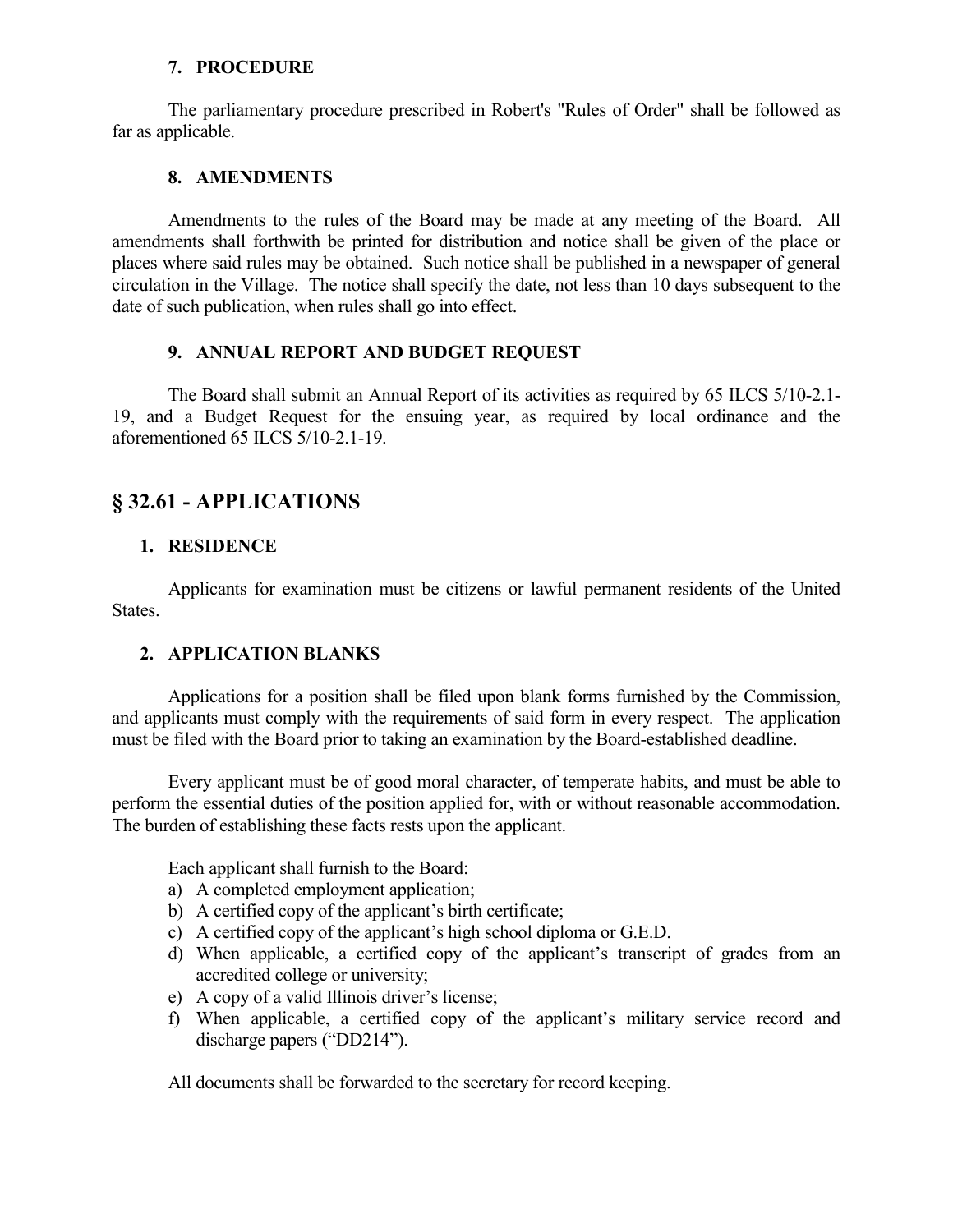### **7. PROCEDURE**

The parliamentary procedure prescribed in Robert's "Rules of Order" shall be followed as far as applicable.

### **8. AMENDMENTS**

Amendments to the rules of the Board may be made at any meeting of the Board. All amendments shall forthwith be printed for distribution and notice shall be given of the place or places where said rules may be obtained. Such notice shall be published in a newspaper of general circulation in the Village. The notice shall specify the date, not less than 10 days subsequent to the date of such publication, when rules shall go into effect.

## **9. ANNUAL REPORT AND BUDGET REQUEST**

The Board shall submit an Annual Report of its activities as required by 65 ILCS 5/10-2.1- 19, and a Budget Request for the ensuing year, as required by local ordinance and the aforementioned 65 ILCS 5/10-2.1-19.

# **§ 32.61 - APPLICATIONS**

# **1. RESIDENCE**

Applicants for examination must be citizens or lawful permanent residents of the United States.

# **2. APPLICATION BLANKS**

Applications for a position shall be filed upon blank forms furnished by the Commission, and applicants must comply with the requirements of said form in every respect. The application must be filed with the Board prior to taking an examination by the Board-established deadline.

Every applicant must be of good moral character, of temperate habits, and must be able to perform the essential duties of the position applied for, with or without reasonable accommodation. The burden of establishing these facts rests upon the applicant.

Each applicant shall furnish to the Board:

- a) A completed employment application;
- b) A certified copy of the applicant's birth certificate;
- c) A certified copy of the applicant's high school diploma or G.E.D.
- d) When applicable, a certified copy of the applicant's transcript of grades from an accredited college or university;
- e) A copy of a valid Illinois driver's license;
- f) When applicable, a certified copy of the applicant's military service record and discharge papers ("DD214").

All documents shall be forwarded to the secretary for record keeping.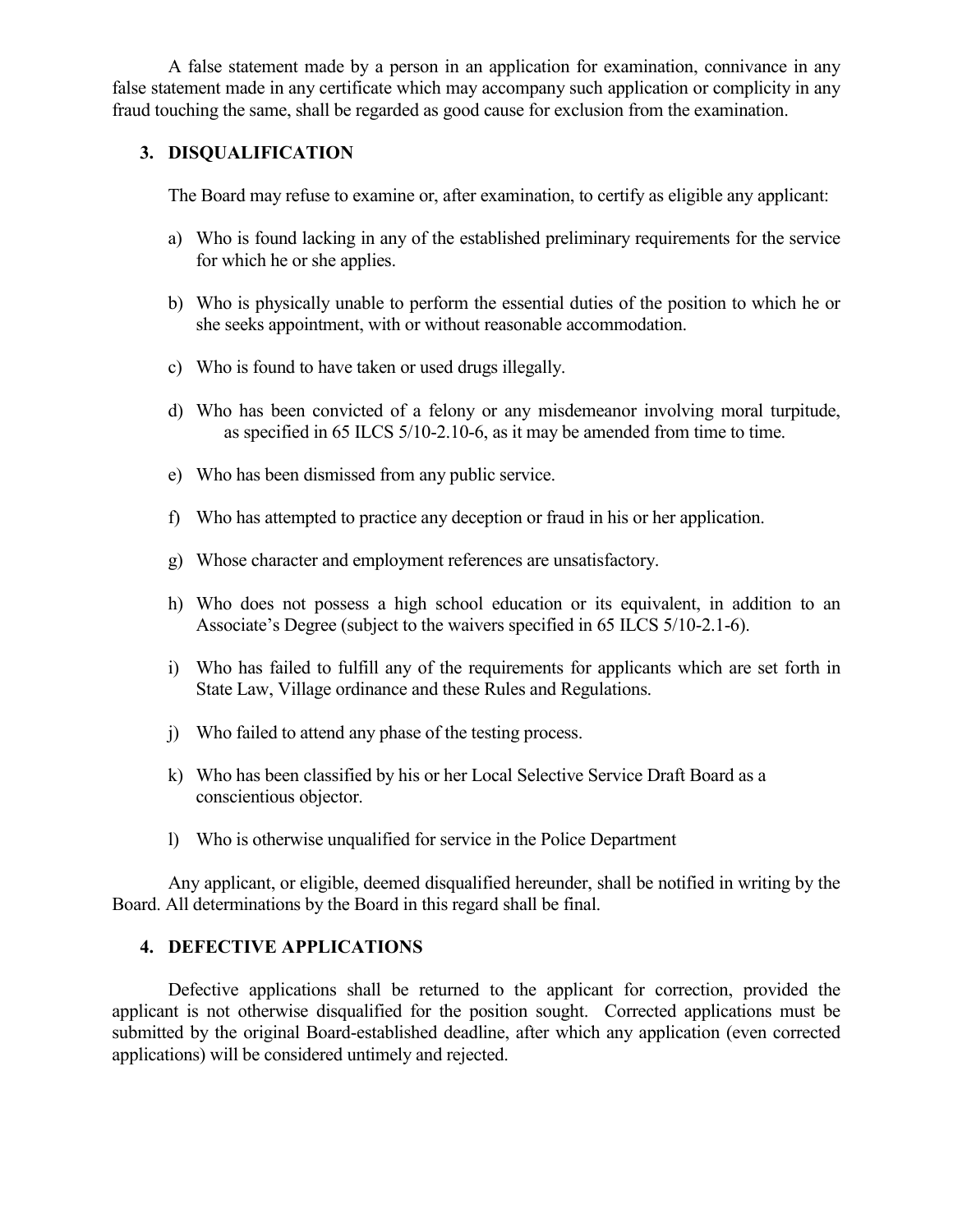A false statement made by a person in an application for examination, connivance in any false statement made in any certificate which may accompany such application or complicity in any fraud touching the same, shall be regarded as good cause for exclusion from the examination.

### **3. DISQUALIFICATION**

The Board may refuse to examine or, after examination, to certify as eligible any applicant:

- a) Who is found lacking in any of the established preliminary requirements for the service for which he or she applies.
- b) Who is physically unable to perform the essential duties of the position to which he or she seeks appointment, with or without reasonable accommodation.
- c) Who is found to have taken or used drugs illegally.
- d) Who has been convicted of a felony or any misdemeanor involving moral turpitude, as specified in 65 ILCS 5/10-2.10-6, as it may be amended from time to time.
- e) Who has been dismissed from any public service.
- f) Who has attempted to practice any deception or fraud in his or her application.
- g) Whose character and employment references are unsatisfactory.
- h) Who does not possess a high school education or its equivalent, in addition to an Associate's Degree (subject to the waivers specified in 65 ILCS 5/10-2.1-6).
- i) Who has failed to fulfill any of the requirements for applicants which are set forth in State Law, Village ordinance and these Rules and Regulations.
- j) Who failed to attend any phase of the testing process.
- k) Who has been classified by his or her Local Selective Service Draft Board as a conscientious objector.
- l) Who is otherwise unqualified for service in the Police Department

Any applicant, or eligible, deemed disqualified hereunder, shall be notified in writing by the Board. All determinations by the Board in this regard shall be final.

## **4. DEFECTIVE APPLICATIONS**

Defective applications shall be returned to the applicant for correction, provided the applicant is not otherwise disqualified for the position sought. Corrected applications must be submitted by the original Board-established deadline, after which any application (even corrected applications) will be considered untimely and rejected.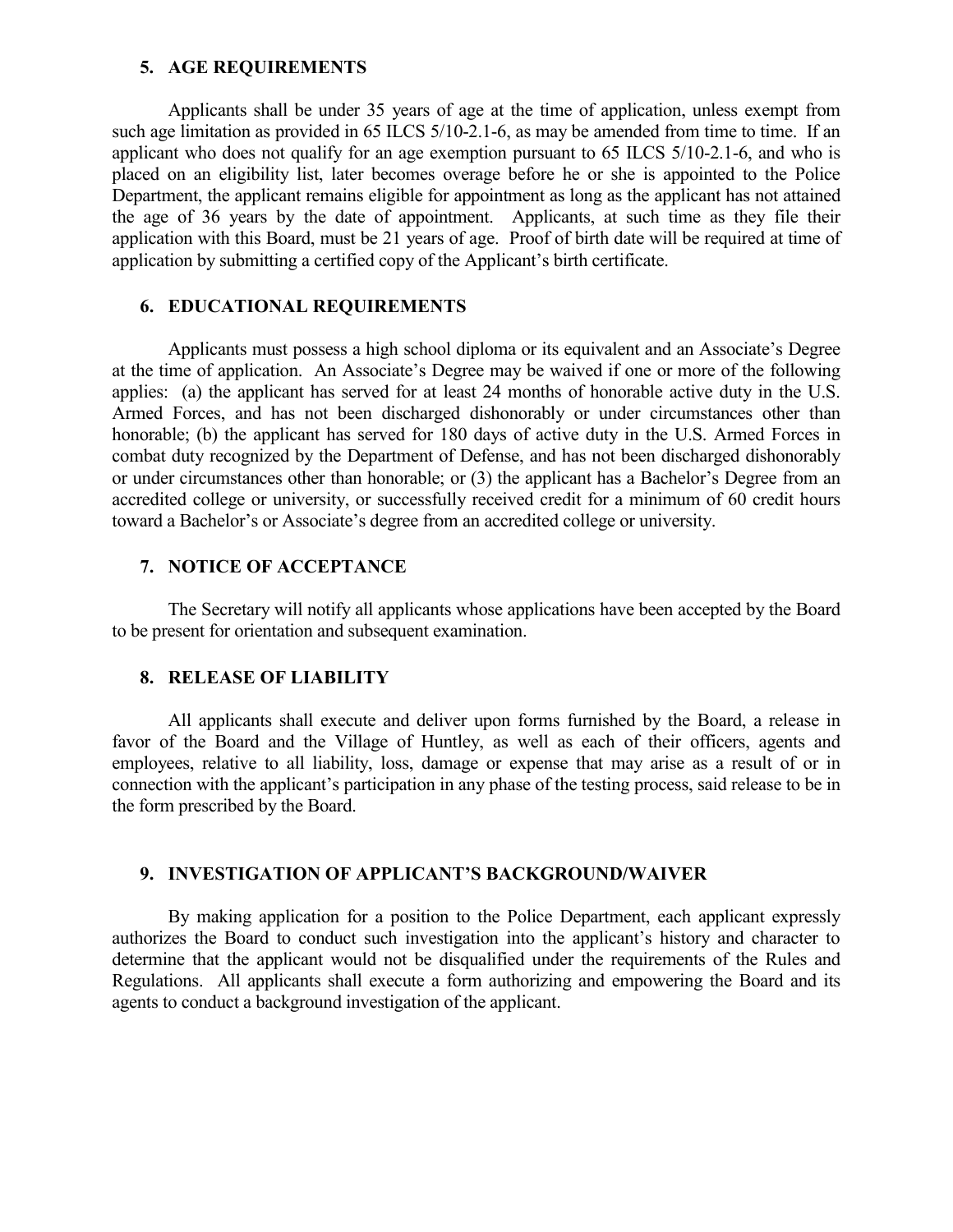#### **5. AGE REQUIREMENTS**

Applicants shall be under 35 years of age at the time of application, unless exempt from such age limitation as provided in 65 ILCS 5/10-2.1-6, as may be amended from time to time. If an applicant who does not qualify for an age exemption pursuant to 65 ILCS 5/10-2.1-6, and who is placed on an eligibility list, later becomes overage before he or she is appointed to the Police Department, the applicant remains eligible for appointment as long as the applicant has not attained the age of 36 years by the date of appointment. Applicants, at such time as they file their application with this Board, must be 21 years of age. Proof of birth date will be required at time of application by submitting a certified copy of the Applicant's birth certificate.

#### **6. EDUCATIONAL REQUIREMENTS**

Applicants must possess a high school diploma or its equivalent and an Associate's Degree at the time of application. An Associate's Degree may be waived if one or more of the following applies: (a) the applicant has served for at least 24 months of honorable active duty in the U.S. Armed Forces, and has not been discharged dishonorably or under circumstances other than honorable; (b) the applicant has served for 180 days of active duty in the U.S. Armed Forces in combat duty recognized by the Department of Defense, and has not been discharged dishonorably or under circumstances other than honorable; or (3) the applicant has a Bachelor's Degree from an accredited college or university, or successfully received credit for a minimum of 60 credit hours toward a Bachelor's or Associate's degree from an accredited college or university.

#### **7. NOTICE OF ACCEPTANCE**

The Secretary will notify all applicants whose applications have been accepted by the Board to be present for orientation and subsequent examination.

## **8. RELEASE OF LIABILITY**

All applicants shall execute and deliver upon forms furnished by the Board, a release in favor of the Board and the Village of Huntley, as well as each of their officers, agents and employees, relative to all liability, loss, damage or expense that may arise as a result of or in connection with the applicant's participation in any phase of the testing process, said release to be in the form prescribed by the Board.

#### **9. INVESTIGATION OF APPLICANT'S BACKGROUND/WAIVER**

By making application for a position to the Police Department, each applicant expressly authorizes the Board to conduct such investigation into the applicant's history and character to determine that the applicant would not be disqualified under the requirements of the Rules and Regulations. All applicants shall execute a form authorizing and empowering the Board and its agents to conduct a background investigation of the applicant.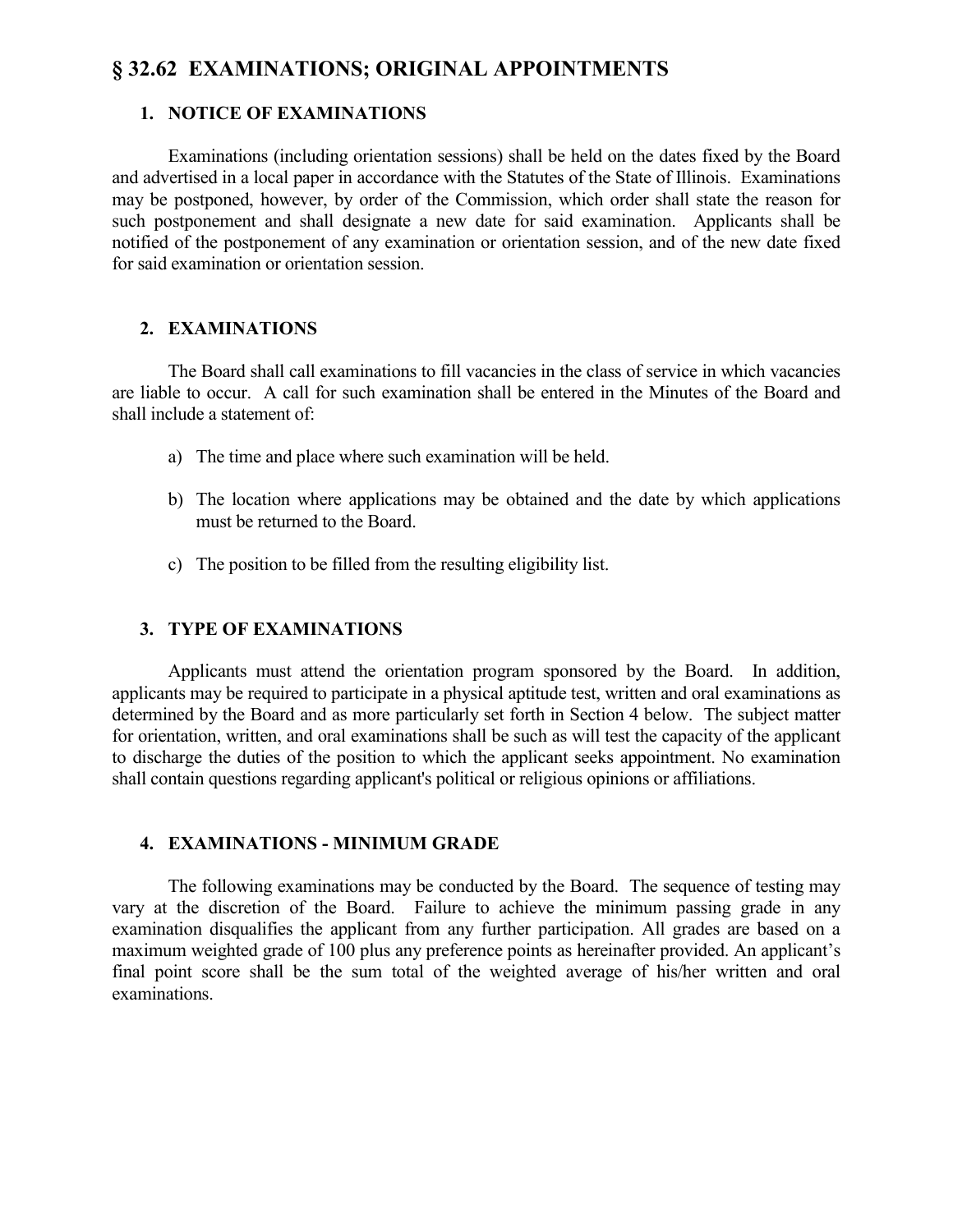# **§ 32.62 EXAMINATIONS; ORIGINAL APPOINTMENTS**

## **1. NOTICE OF EXAMINATIONS**

Examinations (including orientation sessions) shall be held on the dates fixed by the Board and advertised in a local paper in accordance with the Statutes of the State of Illinois. Examinations may be postponed, however, by order of the Commission, which order shall state the reason for such postponement and shall designate a new date for said examination. Applicants shall be notified of the postponement of any examination or orientation session, and of the new date fixed for said examination or orientation session.

## **2. EXAMINATIONS**

The Board shall call examinations to fill vacancies in the class of service in which vacancies are liable to occur. A call for such examination shall be entered in the Minutes of the Board and shall include a statement of:

- a) The time and place where such examination will be held.
- b) The location where applications may be obtained and the date by which applications must be returned to the Board.
- c) The position to be filled from the resulting eligibility list.

### **3. TYPE OF EXAMINATIONS**

Applicants must attend the orientation program sponsored by the Board. In addition, applicants may be required to participate in a physical aptitude test, written and oral examinations as determined by the Board and as more particularly set forth in Section 4 below. The subject matter for orientation, written, and oral examinations shall be such as will test the capacity of the applicant to discharge the duties of the position to which the applicant seeks appointment. No examination shall contain questions regarding applicant's political or religious opinions or affiliations.

### **4. EXAMINATIONS - MINIMUM GRADE**

The following examinations may be conducted by the Board. The sequence of testing may vary at the discretion of the Board. Failure to achieve the minimum passing grade in any examination disqualifies the applicant from any further participation. All grades are based on a maximum weighted grade of 100 plus any preference points as hereinafter provided. An applicant's final point score shall be the sum total of the weighted average of his/her written and oral examinations.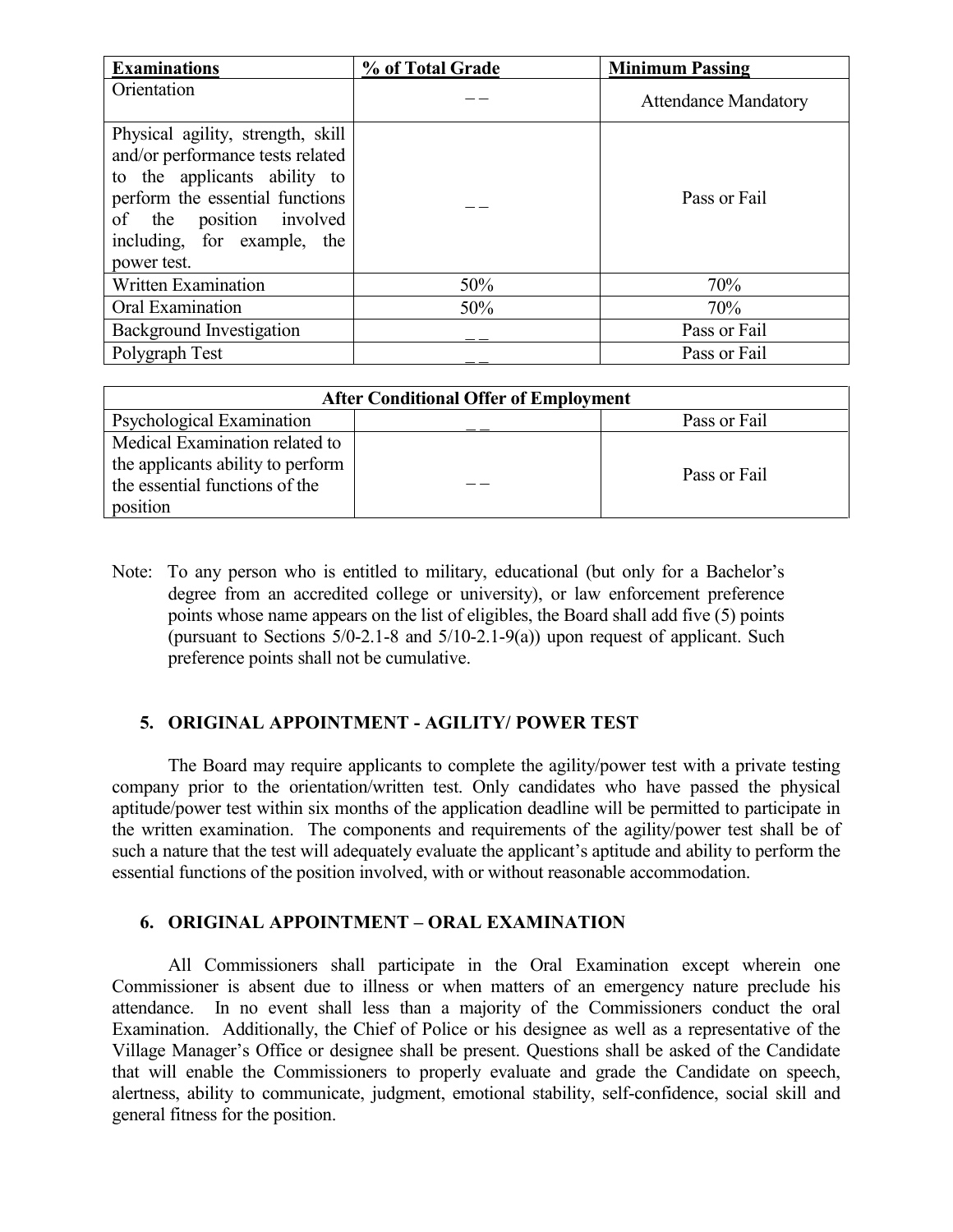| <b>Examinations</b>                                                                                                                                                                                                | % of Total Grade | <b>Minimum Passing</b>      |
|--------------------------------------------------------------------------------------------------------------------------------------------------------------------------------------------------------------------|------------------|-----------------------------|
| Orientation                                                                                                                                                                                                        |                  | <b>Attendance Mandatory</b> |
| Physical agility, strength, skill<br>and/or performance tests related<br>to the applicants ability to<br>perform the essential functions<br>of the position involved<br>including, for example, the<br>power test. |                  | Pass or Fail                |
| <b>Written Examination</b>                                                                                                                                                                                         | 50%              | 70%                         |
| Oral Examination                                                                                                                                                                                                   | 50%              | 70%                         |
| <b>Background Investigation</b>                                                                                                                                                                                    |                  | Pass or Fail                |
| Polygraph Test                                                                                                                                                                                                     |                  | Pass or Fail                |

| <b>After Conditional Offer of Employment</b> |  |              |  |
|----------------------------------------------|--|--------------|--|
| Psychological Examination                    |  | Pass or Fail |  |
| Medical Examination related to               |  |              |  |
| the applicants ability to perform            |  | Pass or Fail |  |
| the essential functions of the               |  |              |  |
| position                                     |  |              |  |

Note: To any person who is entitled to military, educational (but only for a Bachelor's degree from an accredited college or university), or law enforcement preference points whose name appears on the list of eligibles, the Board shall add five (5) points (pursuant to Sections  $5/0-2.1-8$  and  $5/10-2.1-9(a)$ ) upon request of applicant. Such preference points shall not be cumulative.

# **5. ORIGINAL APPOINTMENT - AGILITY/ POWER TEST**

The Board may require applicants to complete the agility/power test with a private testing company prior to the orientation/written test. Only candidates who have passed the physical aptitude/power test within six months of the application deadline will be permitted to participate in the written examination. The components and requirements of the agility/power test shall be of such a nature that the test will adequately evaluate the applicant's aptitude and ability to perform the essential functions of the position involved, with or without reasonable accommodation.

### **6. ORIGINAL APPOINTMENT – ORAL EXAMINATION**

All Commissioners shall participate in the Oral Examination except wherein one Commissioner is absent due to illness or when matters of an emergency nature preclude his attendance. In no event shall less than a majority of the Commissioners conduct the oral Examination. Additionally, the Chief of Police or his designee as well as a representative of the Village Manager's Office or designee shall be present. Questions shall be asked of the Candidate that will enable the Commissioners to properly evaluate and grade the Candidate on speech, alertness, ability to communicate, judgment, emotional stability, self-confidence, social skill and general fitness for the position.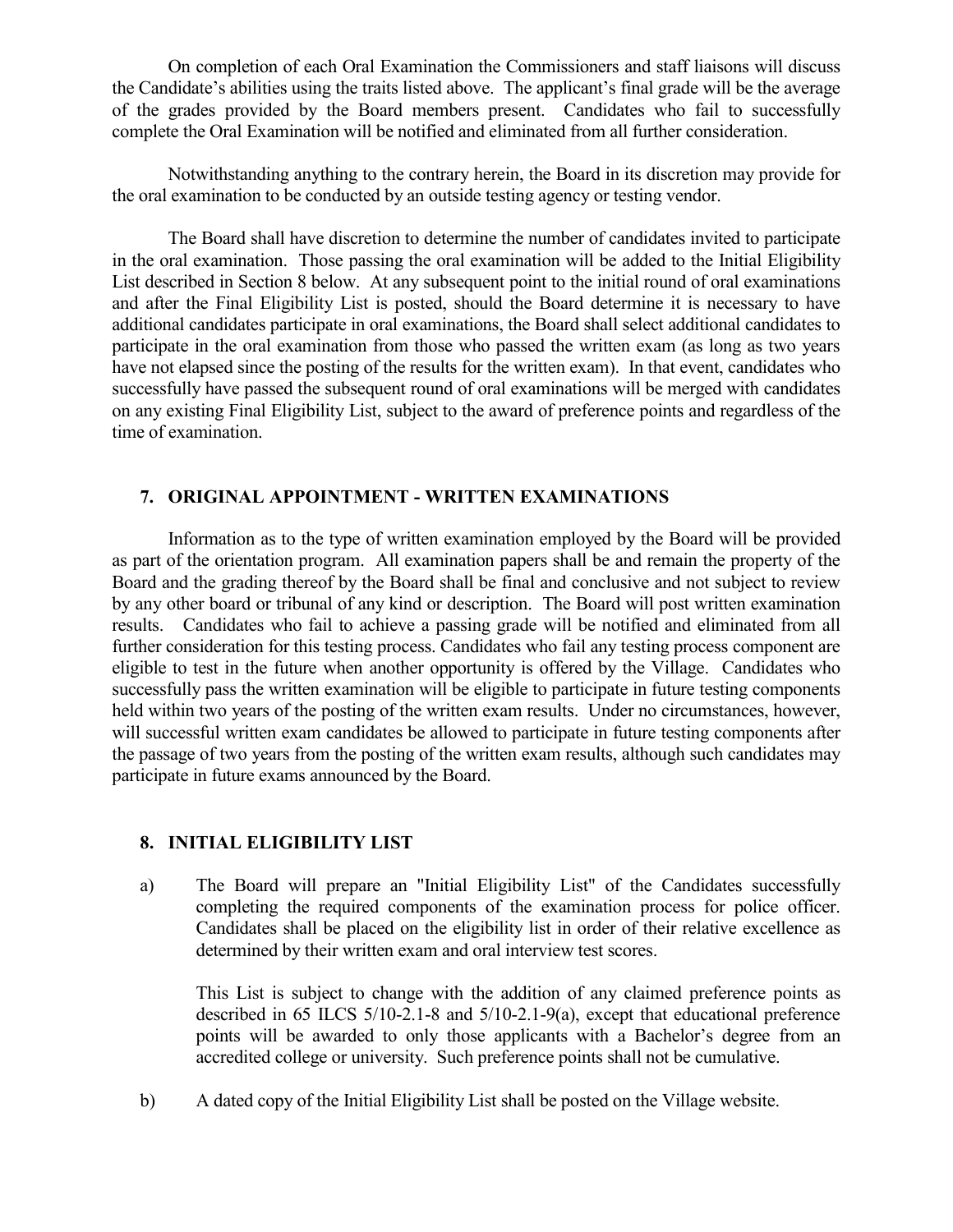On completion of each Oral Examination the Commissioners and staff liaisons will discuss the Candidate's abilities using the traits listed above. The applicant's final grade will be the average of the grades provided by the Board members present. Candidates who fail to successfully complete the Oral Examination will be notified and eliminated from all further consideration.

Notwithstanding anything to the contrary herein, the Board in its discretion may provide for the oral examination to be conducted by an outside testing agency or testing vendor.

The Board shall have discretion to determine the number of candidates invited to participate in the oral examination. Those passing the oral examination will be added to the Initial Eligibility List described in Section 8 below. At any subsequent point to the initial round of oral examinations and after the Final Eligibility List is posted, should the Board determine it is necessary to have additional candidates participate in oral examinations, the Board shall select additional candidates to participate in the oral examination from those who passed the written exam (as long as two years have not elapsed since the posting of the results for the written exam). In that event, candidates who successfully have passed the subsequent round of oral examinations will be merged with candidates on any existing Final Eligibility List, subject to the award of preference points and regardless of the time of examination.

## **7. ORIGINAL APPOINTMENT - WRITTEN EXAMINATIONS**

Information as to the type of written examination employed by the Board will be provided as part of the orientation program. All examination papers shall be and remain the property of the Board and the grading thereof by the Board shall be final and conclusive and not subject to review by any other board or tribunal of any kind or description. The Board will post written examination results. Candidates who fail to achieve a passing grade will be notified and eliminated from all further consideration for this testing process. Candidates who fail any testing process component are eligible to test in the future when another opportunity is offered by the Village. Candidates who successfully pass the written examination will be eligible to participate in future testing components held within two years of the posting of the written exam results. Under no circumstances, however, will successful written exam candidates be allowed to participate in future testing components after the passage of two years from the posting of the written exam results, although such candidates may participate in future exams announced by the Board.

### **8. INITIAL ELIGIBILITY LIST**

a) The Board will prepare an "Initial Eligibility List" of the Candidates successfully completing the required components of the examination process for police officer. Candidates shall be placed on the eligibility list in order of their relative excellence as determined by their written exam and oral interview test scores.

This List is subject to change with the addition of any claimed preference points as described in 65 ILCS 5/10-2.1-8 and 5/10-2.1-9(a), except that educational preference points will be awarded to only those applicants with a Bachelor's degree from an accredited college or university. Such preference points shall not be cumulative.

b) A dated copy of the Initial Eligibility List shall be posted on the Village website.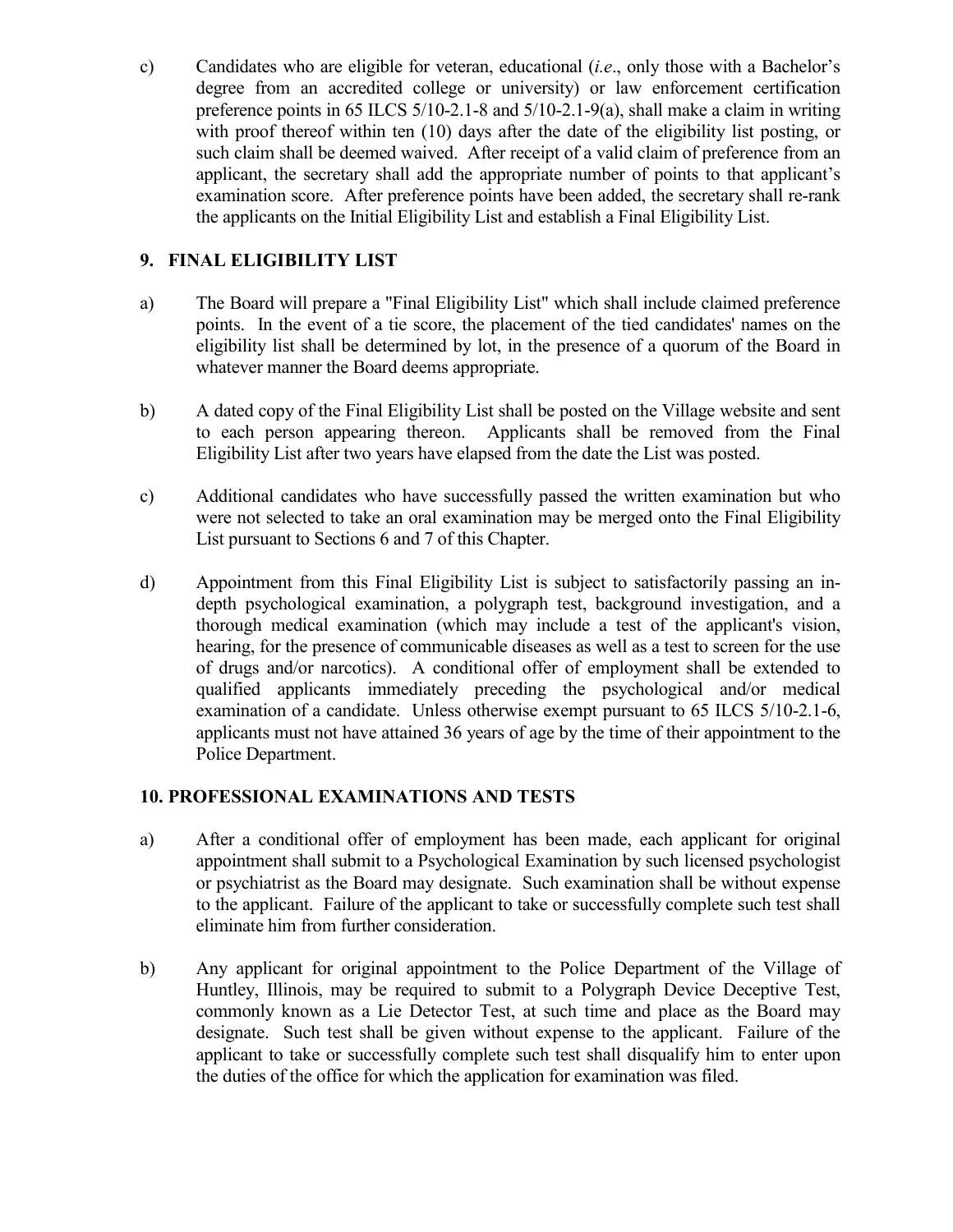c) Candidates who are eligible for veteran, educational (*i.e*., only those with a Bachelor's degree from an accredited college or university) or law enforcement certification preference points in 65 ILCS 5/10-2.1-8 and 5/10-2.1-9(a), shall make a claim in writing with proof thereof within ten (10) days after the date of the eligibility list posting, or such claim shall be deemed waived. After receipt of a valid claim of preference from an applicant, the secretary shall add the appropriate number of points to that applicant's examination score. After preference points have been added, the secretary shall re-rank the applicants on the Initial Eligibility List and establish a Final Eligibility List.

# **9. FINAL ELIGIBILITY LIST**

- a) The Board will prepare a "Final Eligibility List" which shall include claimed preference points. In the event of a tie score, the placement of the tied candidates' names on the eligibility list shall be determined by lot, in the presence of a quorum of the Board in whatever manner the Board deems appropriate.
- b) A dated copy of the Final Eligibility List shall be posted on the Village website and sent to each person appearing thereon. Applicants shall be removed from the Final Eligibility List after two years have elapsed from the date the List was posted.
- c) Additional candidates who have successfully passed the written examination but who were not selected to take an oral examination may be merged onto the Final Eligibility List pursuant to Sections 6 and 7 of this Chapter.
- d) Appointment from this Final Eligibility List is subject to satisfactorily passing an indepth psychological examination, a polygraph test, background investigation, and a thorough medical examination (which may include a test of the applicant's vision, hearing, for the presence of communicable diseases as well as a test to screen for the use of drugs and/or narcotics). A conditional offer of employment shall be extended to qualified applicants immediately preceding the psychological and/or medical examination of a candidate. Unless otherwise exempt pursuant to 65 ILCS 5/10-2.1-6, applicants must not have attained 36 years of age by the time of their appointment to the Police Department.

# **10. PROFESSIONAL EXAMINATIONS AND TESTS**

- a) After a conditional offer of employment has been made, each applicant for original appointment shall submit to a Psychological Examination by such licensed psychologist or psychiatrist as the Board may designate. Such examination shall be without expense to the applicant. Failure of the applicant to take or successfully complete such test shall eliminate him from further consideration.
- b) Any applicant for original appointment to the Police Department of the Village of Huntley, Illinois, may be required to submit to a Polygraph Device Deceptive Test, commonly known as a Lie Detector Test, at such time and place as the Board may designate. Such test shall be given without expense to the applicant. Failure of the applicant to take or successfully complete such test shall disqualify him to enter upon the duties of the office for which the application for examination was filed.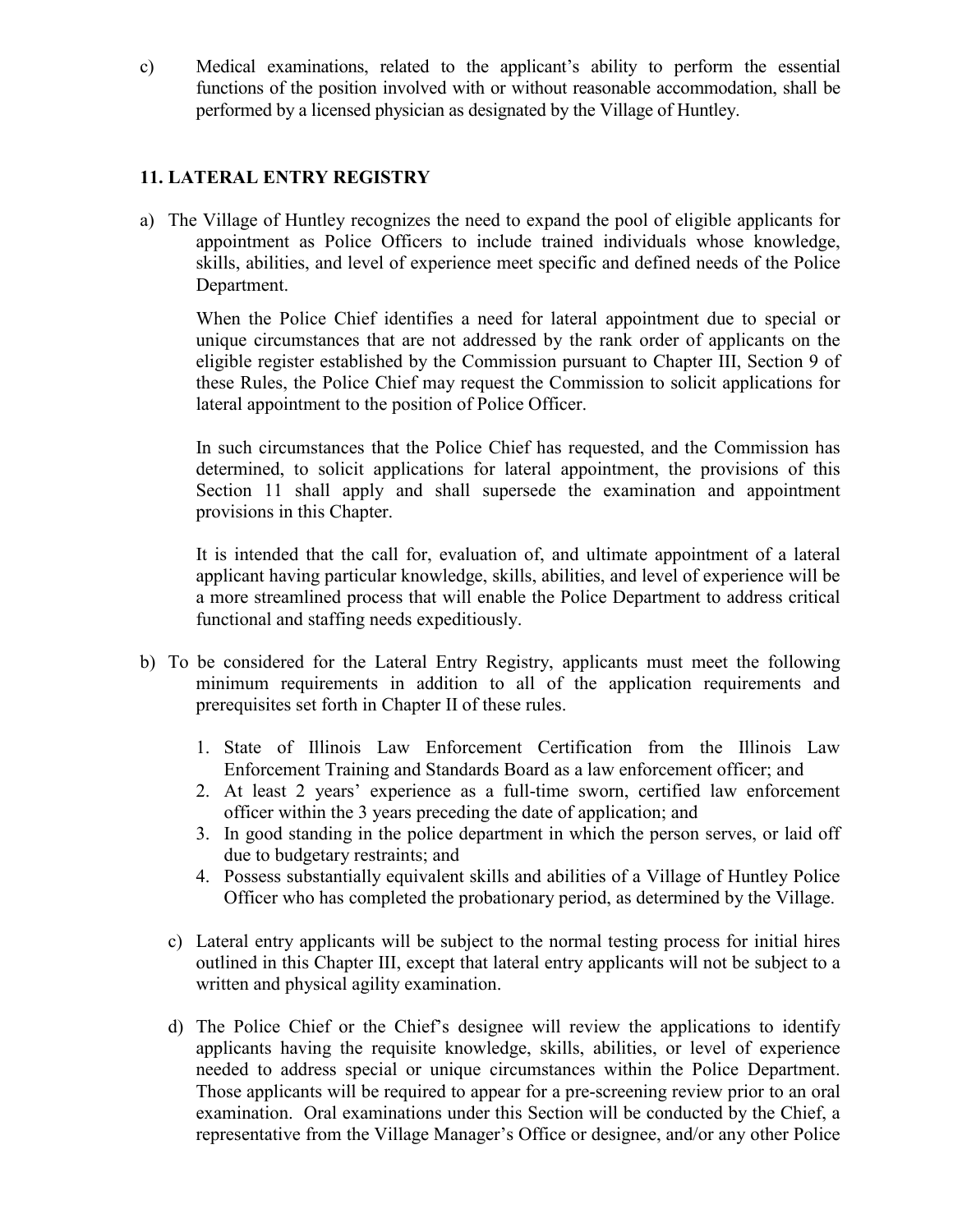c) Medical examinations, related to the applicant's ability to perform the essential functions of the position involved with or without reasonable accommodation, shall be performed by a licensed physician as designated by the Village of Huntley.

# **11. LATERAL ENTRY REGISTRY**

a) The Village of Huntley recognizes the need to expand the pool of eligible applicants for appointment as Police Officers to include trained individuals whose knowledge, skills, abilities, and level of experience meet specific and defined needs of the Police Department.

When the Police Chief identifies a need for lateral appointment due to special or unique circumstances that are not addressed by the rank order of applicants on the eligible register established by the Commission pursuant to Chapter III, Section 9 of these Rules, the Police Chief may request the Commission to solicit applications for lateral appointment to the position of Police Officer.

In such circumstances that the Police Chief has requested, and the Commission has determined, to solicit applications for lateral appointment, the provisions of this Section 11 shall apply and shall supersede the examination and appointment provisions in this Chapter.

It is intended that the call for, evaluation of, and ultimate appointment of a lateral applicant having particular knowledge, skills, abilities, and level of experience will be a more streamlined process that will enable the Police Department to address critical functional and staffing needs expeditiously.

- b) To be considered for the Lateral Entry Registry, applicants must meet the following minimum requirements in addition to all of the application requirements and prerequisites set forth in Chapter II of these rules.
	- 1. State of Illinois Law Enforcement Certification from the Illinois Law Enforcement Training and Standards Board as a law enforcement officer; and
	- 2. At least 2 years' experience as a full-time sworn, certified law enforcement officer within the 3 years preceding the date of application; and
	- 3. In good standing in the police department in which the person serves, or laid off due to budgetary restraints; and
	- 4. Possess substantially equivalent skills and abilities of a Village of Huntley Police Officer who has completed the probationary period, as determined by the Village.
	- c) Lateral entry applicants will be subject to the normal testing process for initial hires outlined in this Chapter III, except that lateral entry applicants will not be subject to a written and physical agility examination.
	- d) The Police Chief or the Chief's designee will review the applications to identify applicants having the requisite knowledge, skills, abilities, or level of experience needed to address special or unique circumstances within the Police Department. Those applicants will be required to appear for a pre-screening review prior to an oral examination. Oral examinations under this Section will be conducted by the Chief, a representative from the Village Manager's Office or designee, and/or any other Police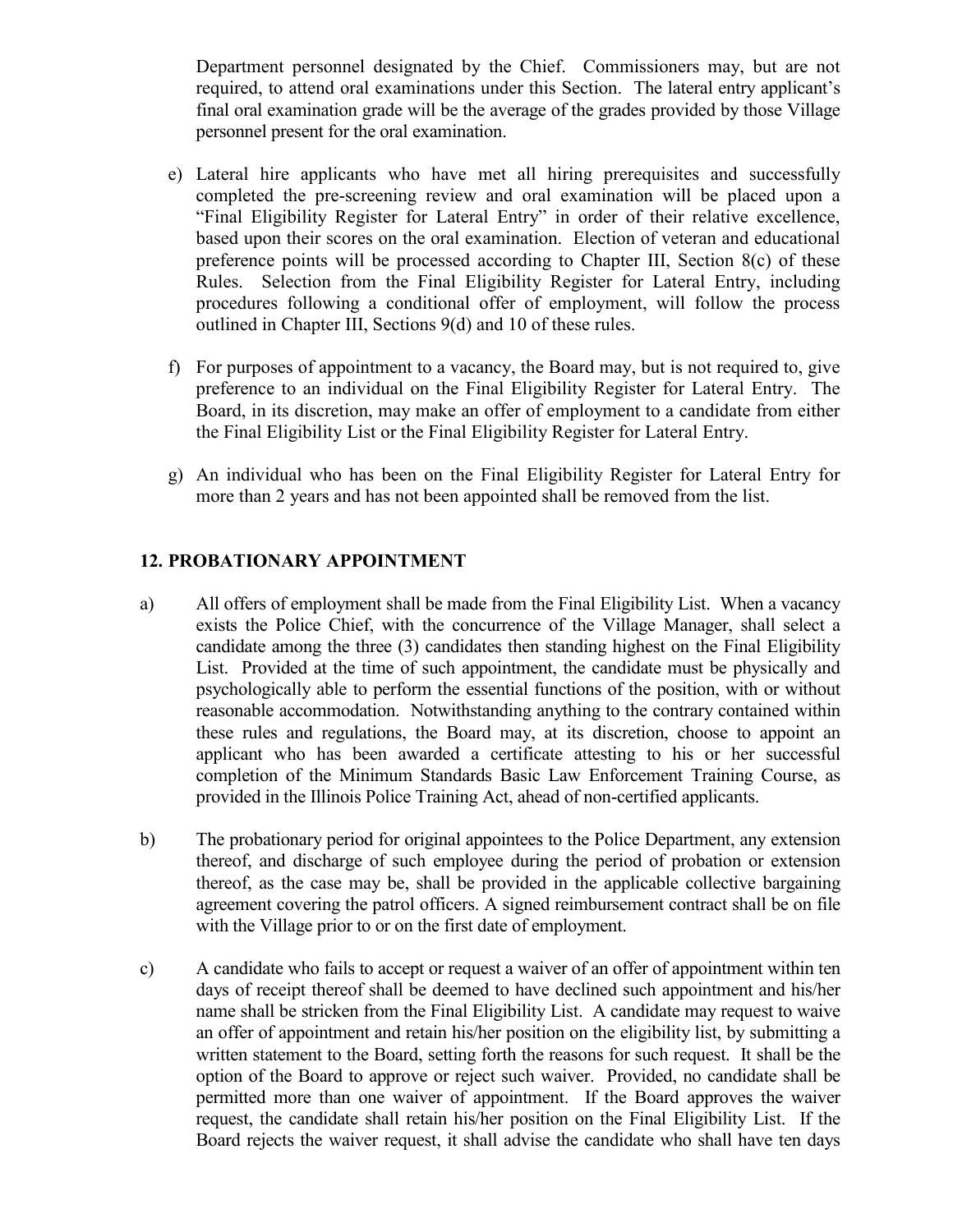Department personnel designated by the Chief. Commissioners may, but are not required, to attend oral examinations under this Section. The lateral entry applicant's final oral examination grade will be the average of the grades provided by those Village personnel present for the oral examination.

- e) Lateral hire applicants who have met all hiring prerequisites and successfully completed the pre-screening review and oral examination will be placed upon a "Final Eligibility Register for Lateral Entry" in order of their relative excellence, based upon their scores on the oral examination. Election of veteran and educational preference points will be processed according to Chapter III, Section 8(c) of these Rules. Selection from the Final Eligibility Register for Lateral Entry, including procedures following a conditional offer of employment, will follow the process outlined in Chapter III, Sections 9(d) and 10 of these rules.
- f) For purposes of appointment to a vacancy, the Board may, but is not required to, give preference to an individual on the Final Eligibility Register for Lateral Entry. The Board, in its discretion, may make an offer of employment to a candidate from either the Final Eligibility List or the Final Eligibility Register for Lateral Entry.
- g) An individual who has been on the Final Eligibility Register for Lateral Entry for more than 2 years and has not been appointed shall be removed from the list.

# **12. PROBATIONARY APPOINTMENT**

- a) All offers of employment shall be made from the Final Eligibility List. When a vacancy exists the Police Chief, with the concurrence of the Village Manager, shall select a candidate among the three (3) candidates then standing highest on the Final Eligibility List. Provided at the time of such appointment, the candidate must be physically and psychologically able to perform the essential functions of the position, with or without reasonable accommodation. Notwithstanding anything to the contrary contained within these rules and regulations, the Board may, at its discretion, choose to appoint an applicant who has been awarded a certificate attesting to his or her successful completion of the Minimum Standards Basic Law Enforcement Training Course, as provided in the Illinois Police Training Act, ahead of non-certified applicants.
- b) The probationary period for original appointees to the Police Department, any extension thereof, and discharge of such employee during the period of probation or extension thereof, as the case may be, shall be provided in the applicable collective bargaining agreement covering the patrol officers. A signed reimbursement contract shall be on file with the Village prior to or on the first date of employment.
- c) A candidate who fails to accept or request a waiver of an offer of appointment within ten days of receipt thereof shall be deemed to have declined such appointment and his/her name shall be stricken from the Final Eligibility List. A candidate may request to waive an offer of appointment and retain his/her position on the eligibility list, by submitting a written statement to the Board, setting forth the reasons for such request. It shall be the option of the Board to approve or reject such waiver. Provided, no candidate shall be permitted more than one waiver of appointment. If the Board approves the waiver request, the candidate shall retain his/her position on the Final Eligibility List. If the Board rejects the waiver request, it shall advise the candidate who shall have ten days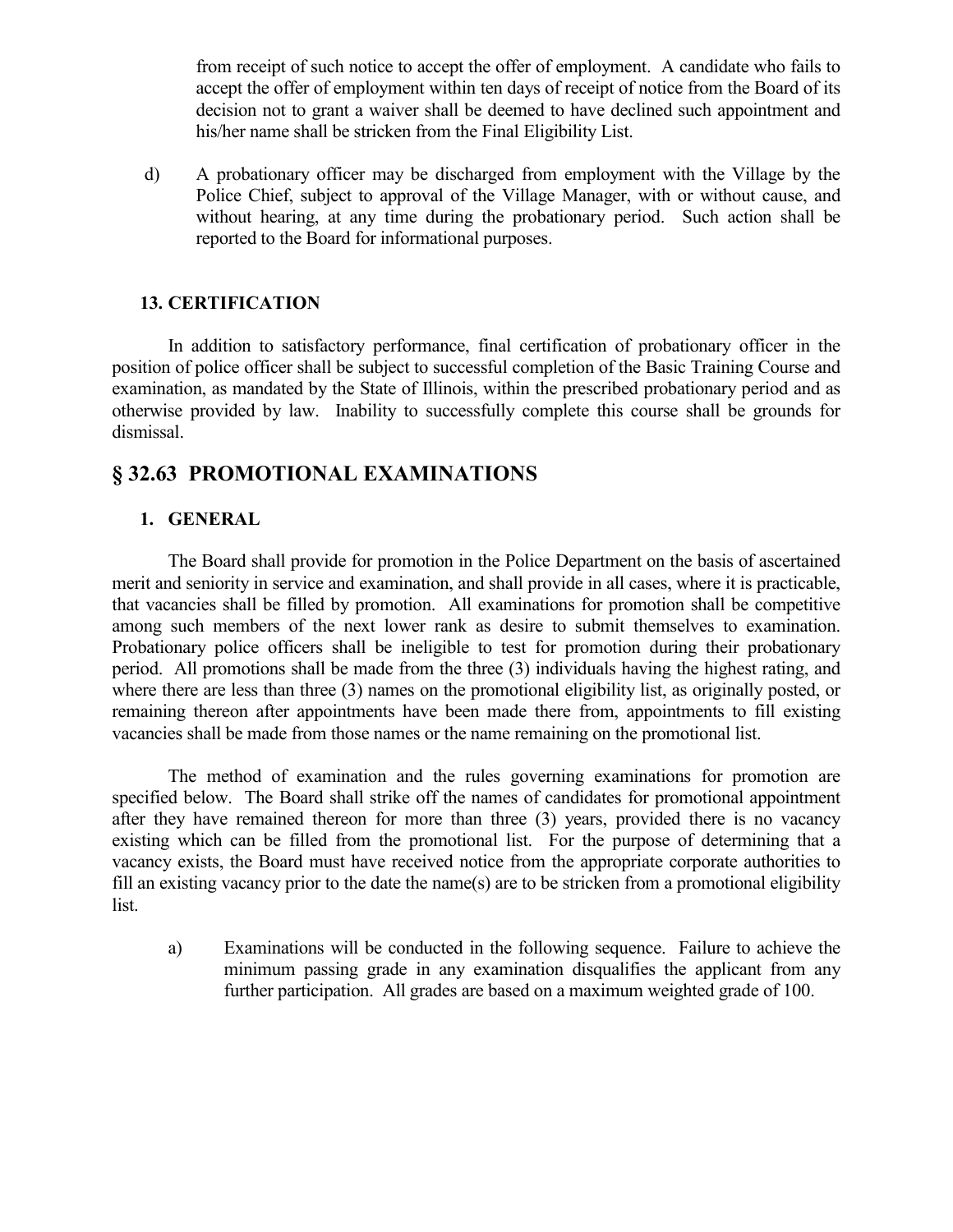from receipt of such notice to accept the offer of employment. A candidate who fails to accept the offer of employment within ten days of receipt of notice from the Board of its decision not to grant a waiver shall be deemed to have declined such appointment and his/her name shall be stricken from the Final Eligibility List.

d) A probationary officer may be discharged from employment with the Village by the Police Chief, subject to approval of the Village Manager, with or without cause, and without hearing, at any time during the probationary period. Such action shall be reported to the Board for informational purposes.

## **13. CERTIFICATION**

In addition to satisfactory performance, final certification of probationary officer in the position of police officer shall be subject to successful completion of the Basic Training Course and examination, as mandated by the State of Illinois, within the prescribed probationary period and as otherwise provided by law. Inability to successfully complete this course shall be grounds for dismissal.

# **§ 32.63 PROMOTIONAL EXAMINATIONS**

### **1. GENERAL**

The Board shall provide for promotion in the Police Department on the basis of ascertained merit and seniority in service and examination, and shall provide in all cases, where it is practicable, that vacancies shall be filled by promotion. All examinations for promotion shall be competitive among such members of the next lower rank as desire to submit themselves to examination. Probationary police officers shall be ineligible to test for promotion during their probationary period. All promotions shall be made from the three (3) individuals having the highest rating, and where there are less than three (3) names on the promotional eligibility list, as originally posted, or remaining thereon after appointments have been made there from, appointments to fill existing vacancies shall be made from those names or the name remaining on the promotional list.

The method of examination and the rules governing examinations for promotion are specified below. The Board shall strike off the names of candidates for promotional appointment after they have remained thereon for more than three (3) years, provided there is no vacancy existing which can be filled from the promotional list. For the purpose of determining that a vacancy exists, the Board must have received notice from the appropriate corporate authorities to fill an existing vacancy prior to the date the name(s) are to be stricken from a promotional eligibility list.

a) Examinations will be conducted in the following sequence. Failure to achieve the minimum passing grade in any examination disqualifies the applicant from any further participation. All grades are based on a maximum weighted grade of 100.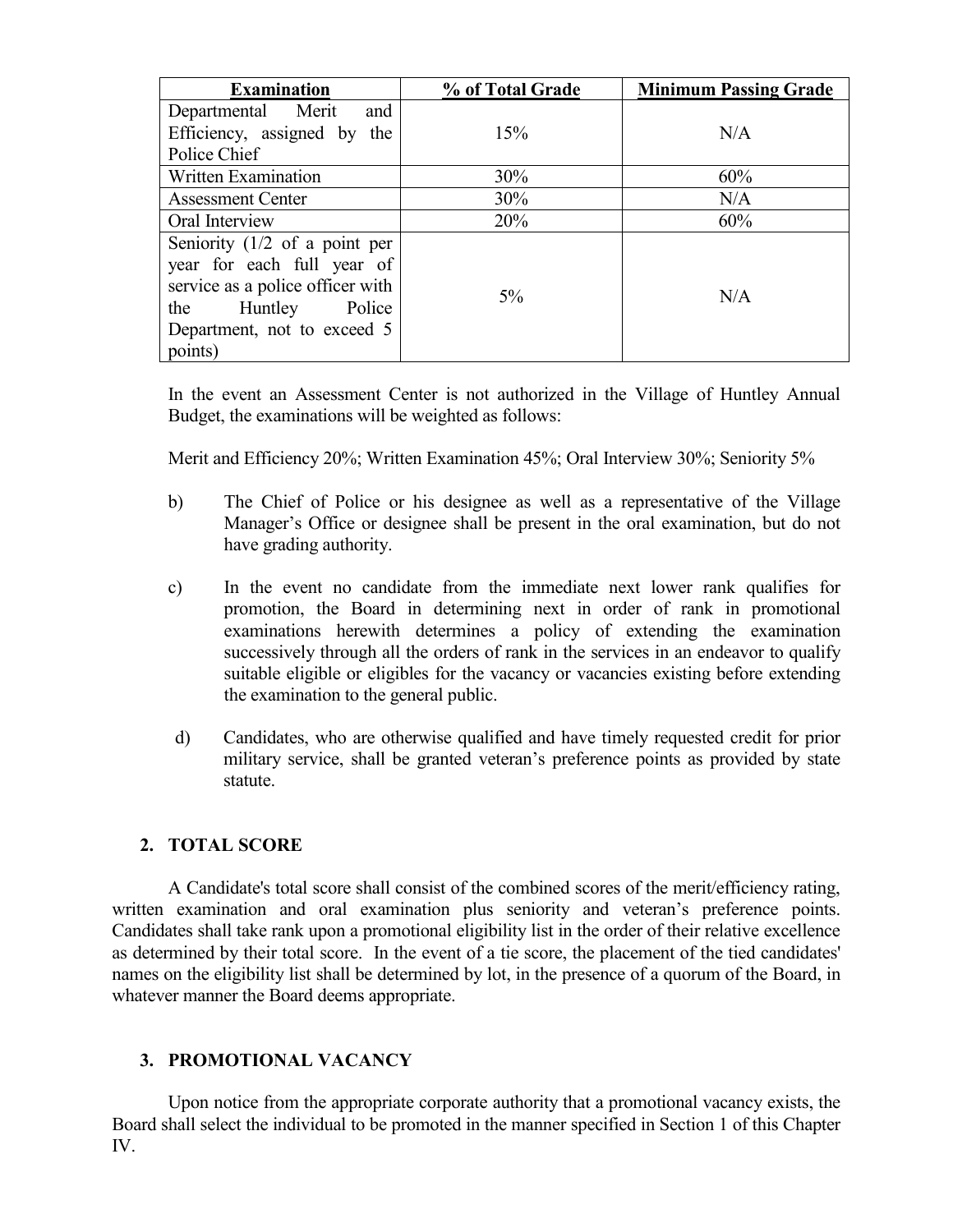| <b>Examination</b>                                                                                                                                                               | % of Total Grade | <b>Minimum Passing Grade</b> |
|----------------------------------------------------------------------------------------------------------------------------------------------------------------------------------|------------------|------------------------------|
| Departmental Merit<br>and                                                                                                                                                        |                  |                              |
| Efficiency, assigned by the                                                                                                                                                      | 15%              | N/A                          |
| Police Chief                                                                                                                                                                     |                  |                              |
| <b>Written Examination</b>                                                                                                                                                       | 30%              | 60%                          |
| <b>Assessment Center</b>                                                                                                                                                         | 30%              | N/A                          |
| Oral Interview                                                                                                                                                                   | 20%              | 60%                          |
| Seniority $(1/2 \text{ of a point per})$<br>year for each full year of<br>service as a police officer with<br>Police<br>the<br>Huntley<br>Department, not to exceed 5<br>points) | $5\%$            | N/A                          |

In the event an Assessment Center is not authorized in the Village of Huntley Annual Budget, the examinations will be weighted as follows:

Merit and Efficiency 20%; Written Examination 45%; Oral Interview 30%; Seniority 5%

- b) The Chief of Police or his designee as well as a representative of the Village Manager's Office or designee shall be present in the oral examination, but do not have grading authority.
- c) In the event no candidate from the immediate next lower rank qualifies for promotion, the Board in determining next in order of rank in promotional examinations herewith determines a policy of extending the examination successively through all the orders of rank in the services in an endeavor to qualify suitable eligible or eligibles for the vacancy or vacancies existing before extending the examination to the general public.
- d) Candidates, who are otherwise qualified and have timely requested credit for prior military service, shall be granted veteran's preference points as provided by state statute.

### **2. TOTAL SCORE**

A Candidate's total score shall consist of the combined scores of the merit/efficiency rating, written examination and oral examination plus seniority and veteran's preference points. Candidates shall take rank upon a promotional eligibility list in the order of their relative excellence as determined by their total score. In the event of a tie score, the placement of the tied candidates' names on the eligibility list shall be determined by lot, in the presence of a quorum of the Board, in whatever manner the Board deems appropriate.

### **3. PROMOTIONAL VACANCY**

Upon notice from the appropriate corporate authority that a promotional vacancy exists, the Board shall select the individual to be promoted in the manner specified in Section 1 of this Chapter IV.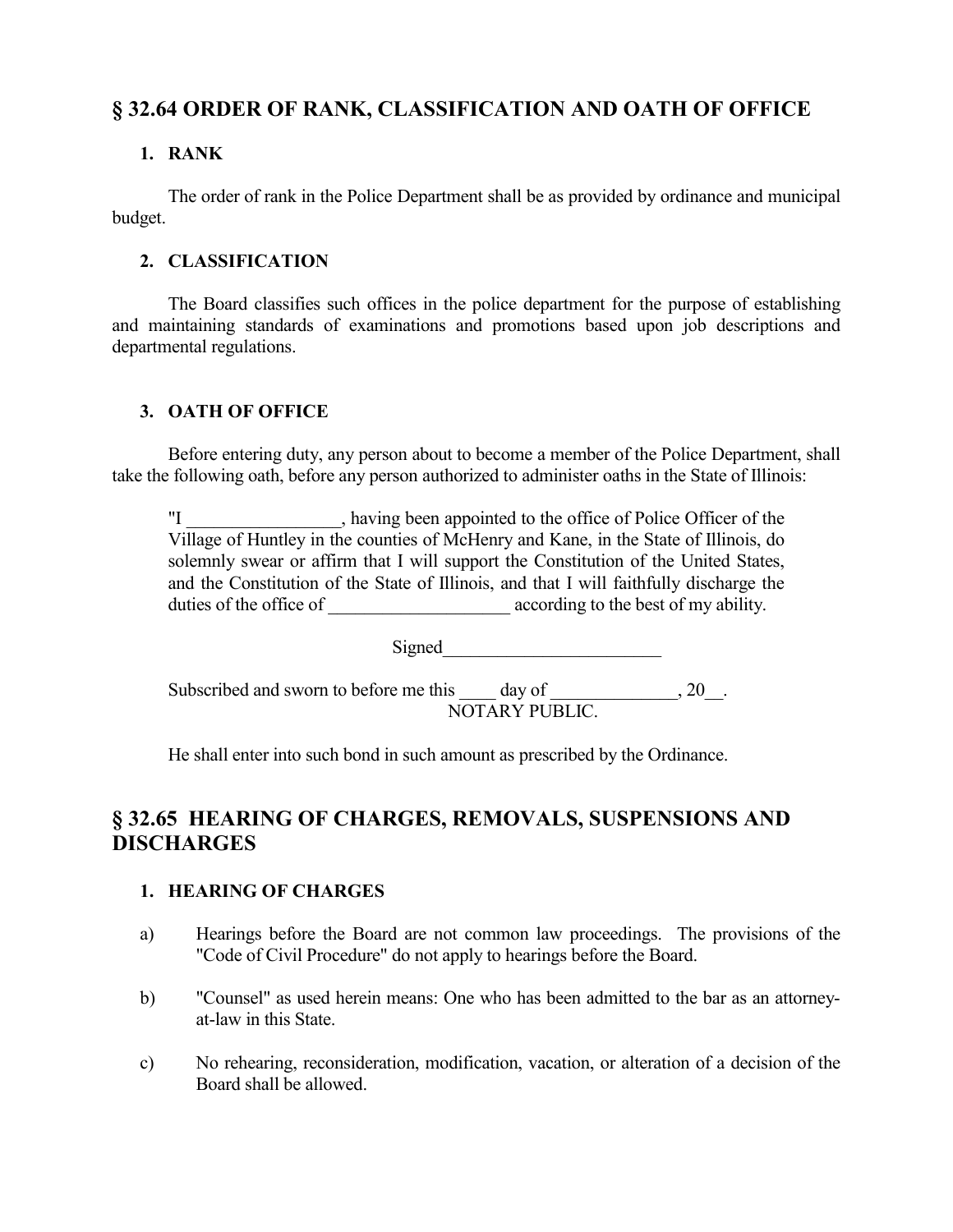# **§ 32.64 ORDER OF RANK, CLASSIFICATION AND OATH OF OFFICE**

# **1. RANK**

The order of rank in the Police Department shall be as provided by ordinance and municipal budget.

# **2. CLASSIFICATION**

The Board classifies such offices in the police department for the purpose of establishing and maintaining standards of examinations and promotions based upon job descriptions and departmental regulations.

# **3. OATH OF OFFICE**

Before entering duty, any person about to become a member of the Police Department, shall take the following oath, before any person authorized to administer oaths in the State of Illinois:

"I \_\_\_\_\_\_\_\_\_\_\_\_\_\_\_\_\_, having been appointed to the office of Police Officer of the Village of Huntley in the counties of McHenry and Kane, in the State of Illinois, do solemnly swear or affirm that I will support the Constitution of the United States, and the Constitution of the State of Illinois, and that I will faithfully discharge the duties of the office of  $\qquad \qquad \text{according to the best of my ability.}$ 

Signed

Subscribed and sworn to before me this \_\_\_\_ day of \_\_\_\_\_\_\_\_\_\_\_\_, 20\_\_. NOTARY PUBLIC.

He shall enter into such bond in such amount as prescribed by the Ordinance.

# **§ 32.65 HEARING OF CHARGES, REMOVALS, SUSPENSIONS AND DISCHARGES**

# **1. HEARING OF CHARGES**

- a) Hearings before the Board are not common law proceedings. The provisions of the "Code of Civil Procedure" do not apply to hearings before the Board.
- b) "Counsel" as used herein means: One who has been admitted to the bar as an attorneyat-law in this State.
- c) No rehearing, reconsideration, modification, vacation, or alteration of a decision of the Board shall be allowed.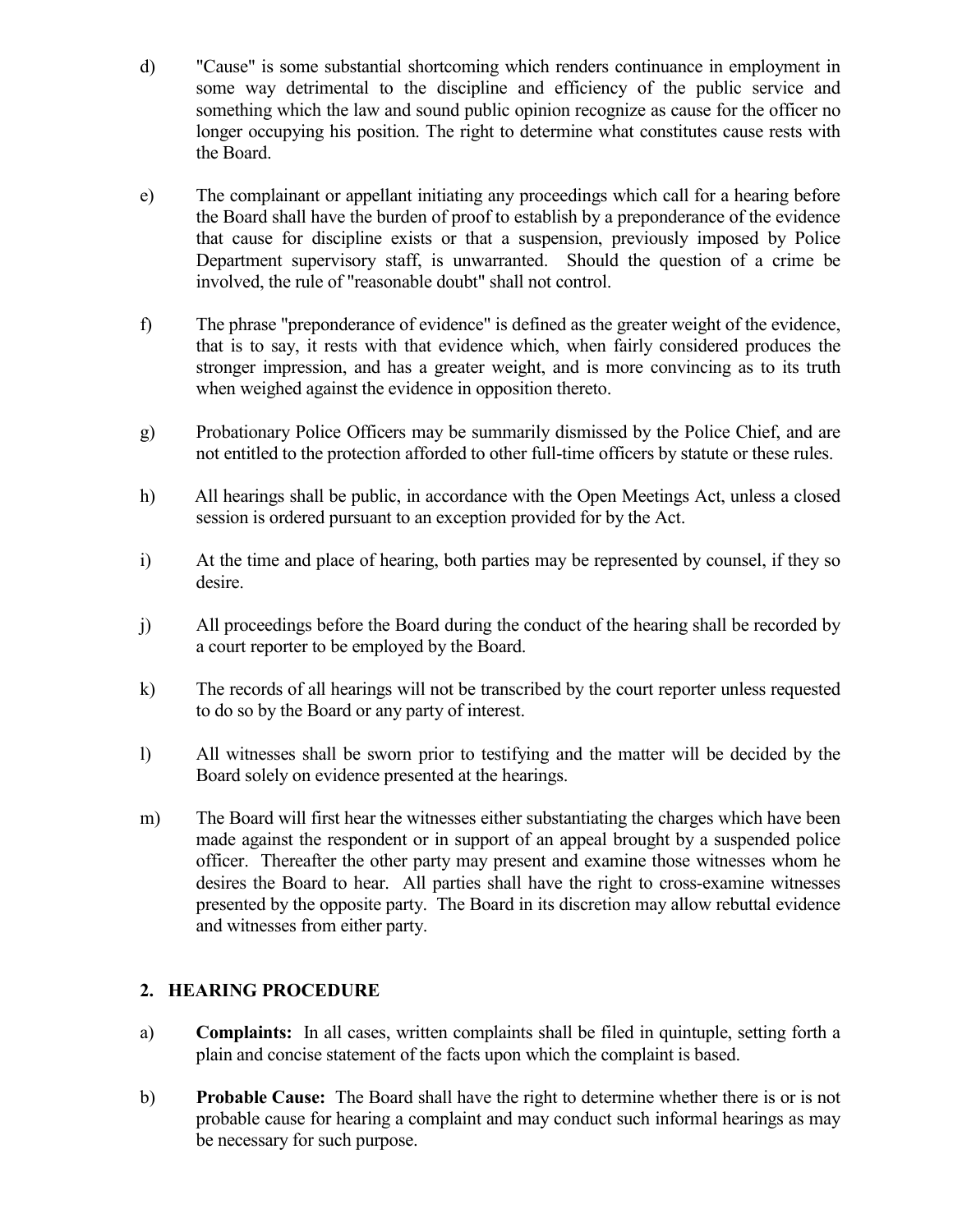- d) "Cause" is some substantial shortcoming which renders continuance in employment in some way detrimental to the discipline and efficiency of the public service and something which the law and sound public opinion recognize as cause for the officer no longer occupying his position. The right to determine what constitutes cause rests with the Board.
- e) The complainant or appellant initiating any proceedings which call for a hearing before the Board shall have the burden of proof to establish by a preponderance of the evidence that cause for discipline exists or that a suspension, previously imposed by Police Department supervisory staff, is unwarranted. Should the question of a crime be involved, the rule of "reasonable doubt" shall not control.
- f) The phrase "preponderance of evidence" is defined as the greater weight of the evidence, that is to say, it rests with that evidence which, when fairly considered produces the stronger impression, and has a greater weight, and is more convincing as to its truth when weighed against the evidence in opposition thereto.
- g) Probationary Police Officers may be summarily dismissed by the Police Chief, and are not entitled to the protection afforded to other full-time officers by statute or these rules.
- h) All hearings shall be public, in accordance with the Open Meetings Act, unless a closed session is ordered pursuant to an exception provided for by the Act.
- i) At the time and place of hearing, both parties may be represented by counsel, if they so desire.
- j) All proceedings before the Board during the conduct of the hearing shall be recorded by a court reporter to be employed by the Board.
- k) The records of all hearings will not be transcribed by the court reporter unless requested to do so by the Board or any party of interest.
- l) All witnesses shall be sworn prior to testifying and the matter will be decided by the Board solely on evidence presented at the hearings.
- m) The Board will first hear the witnesses either substantiating the charges which have been made against the respondent or in support of an appeal brought by a suspended police officer. Thereafter the other party may present and examine those witnesses whom he desires the Board to hear. All parties shall have the right to cross-examine witnesses presented by the opposite party. The Board in its discretion may allow rebuttal evidence and witnesses from either party.

# **2. HEARING PROCEDURE**

- a) **Complaints:** In all cases, written complaints shall be filed in quintuple, setting forth a plain and concise statement of the facts upon which the complaint is based.
- b) **Probable Cause:** The Board shall have the right to determine whether there is or is not probable cause for hearing a complaint and may conduct such informal hearings as may be necessary for such purpose.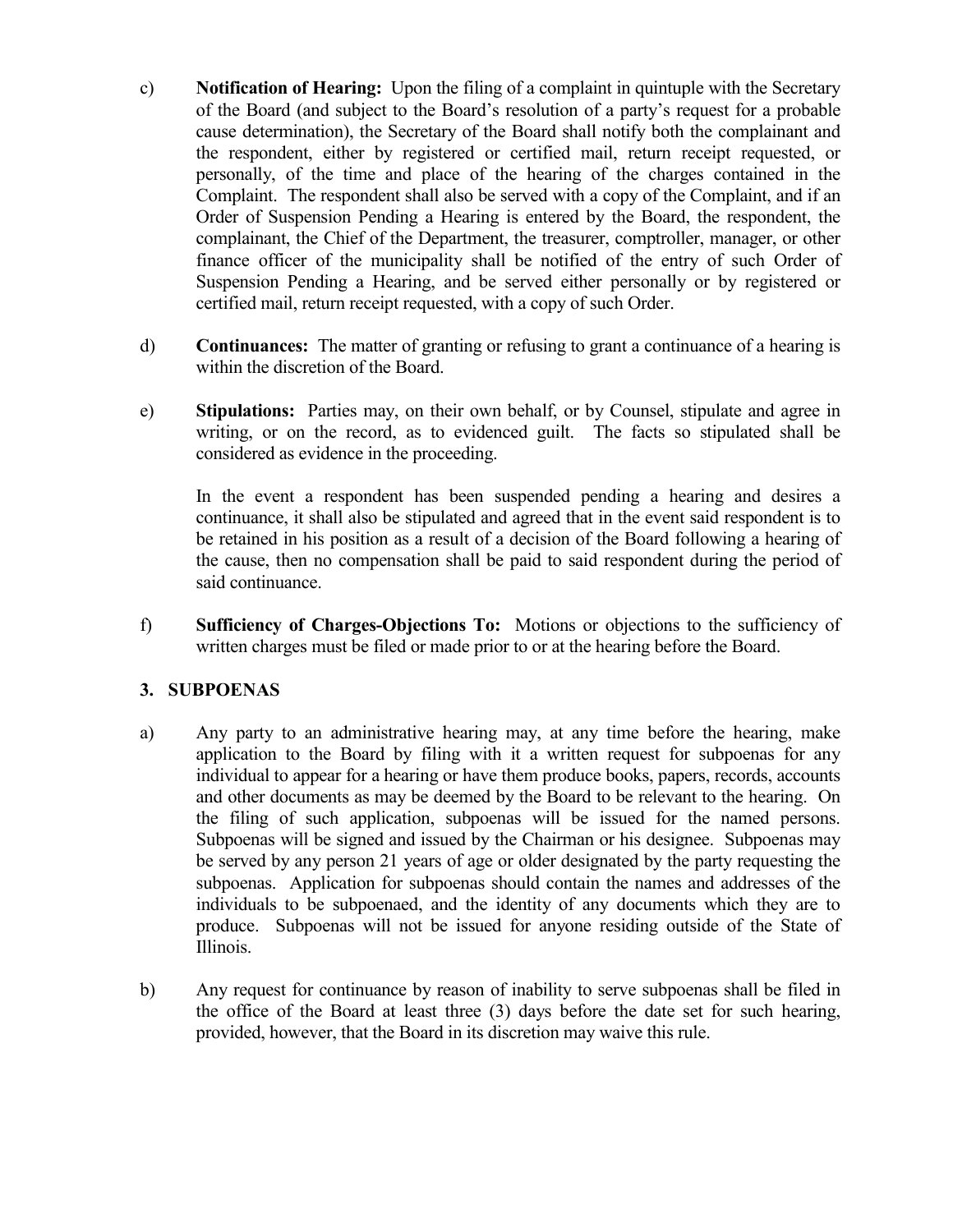- c) **Notification of Hearing:** Upon the filing of a complaint in quintuple with the Secretary of the Board (and subject to the Board's resolution of a party's request for a probable cause determination), the Secretary of the Board shall notify both the complainant and the respondent, either by registered or certified mail, return receipt requested, or personally, of the time and place of the hearing of the charges contained in the Complaint. The respondent shall also be served with a copy of the Complaint, and if an Order of Suspension Pending a Hearing is entered by the Board, the respondent, the complainant, the Chief of the Department, the treasurer, comptroller, manager, or other finance officer of the municipality shall be notified of the entry of such Order of Suspension Pending a Hearing, and be served either personally or by registered or certified mail, return receipt requested, with a copy of such Order.
- d) **Continuances:** The matter of granting or refusing to grant a continuance of a hearing is within the discretion of the Board.
- e) **Stipulations:** Parties may, on their own behalf, or by Counsel, stipulate and agree in writing, or on the record, as to evidenced guilt. The facts so stipulated shall be considered as evidence in the proceeding.

In the event a respondent has been suspended pending a hearing and desires a continuance, it shall also be stipulated and agreed that in the event said respondent is to be retained in his position as a result of a decision of the Board following a hearing of the cause, then no compensation shall be paid to said respondent during the period of said continuance.

f) **Sufficiency of Charges-Objections To:** Motions or objections to the sufficiency of written charges must be filed or made prior to or at the hearing before the Board.

# **3. SUBPOENAS**

- a) Any party to an administrative hearing may, at any time before the hearing, make application to the Board by filing with it a written request for subpoenas for any individual to appear for a hearing or have them produce books, papers, records, accounts and other documents as may be deemed by the Board to be relevant to the hearing. On the filing of such application, subpoenas will be issued for the named persons. Subpoenas will be signed and issued by the Chairman or his designee. Subpoenas may be served by any person 21 years of age or older designated by the party requesting the subpoenas. Application for subpoenas should contain the names and addresses of the individuals to be subpoenaed, and the identity of any documents which they are to produce. Subpoenas will not be issued for anyone residing outside of the State of Illinois.
- b) Any request for continuance by reason of inability to serve subpoenas shall be filed in the office of the Board at least three (3) days before the date set for such hearing, provided, however, that the Board in its discretion may waive this rule.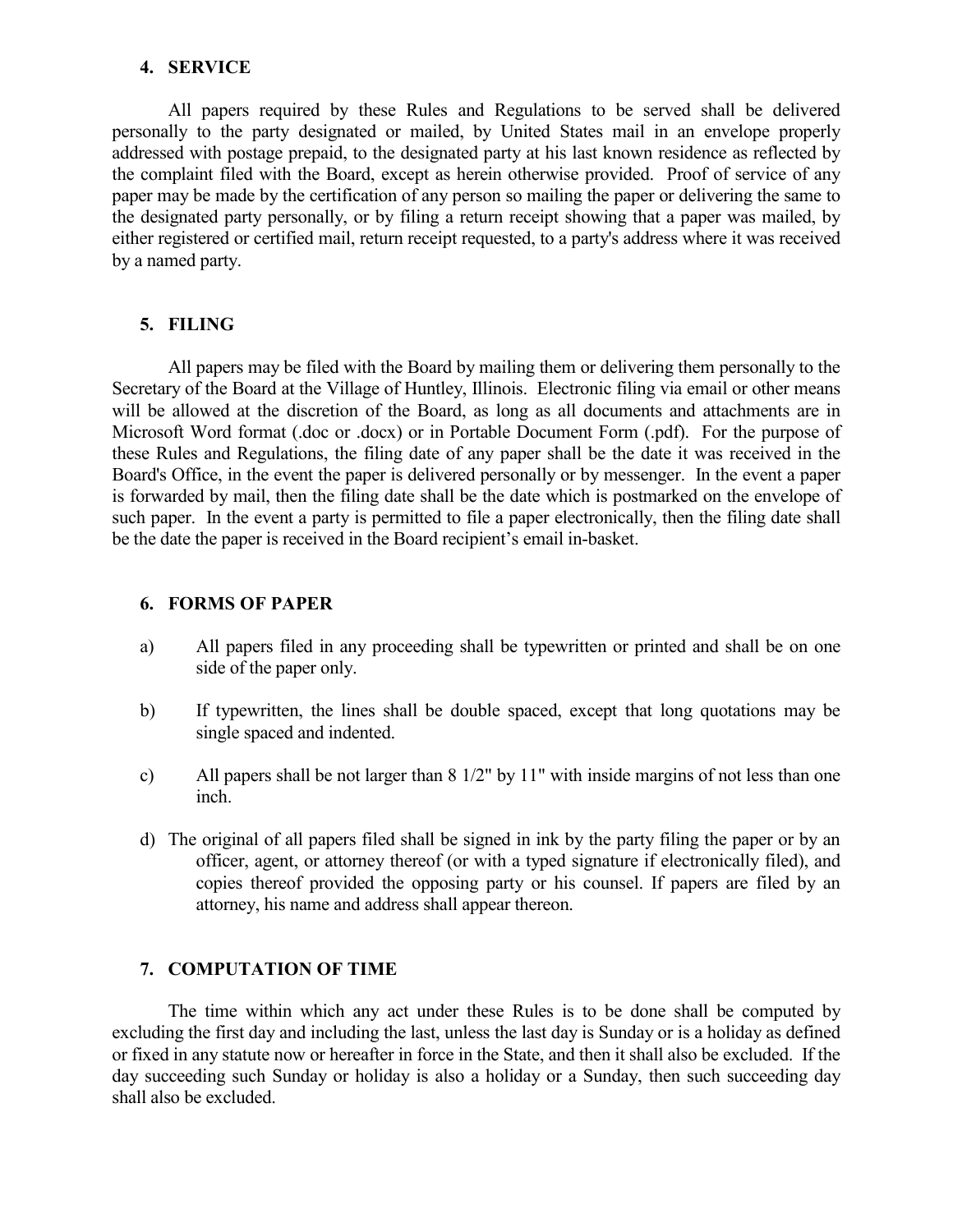#### **4. SERVICE**

All papers required by these Rules and Regulations to be served shall be delivered personally to the party designated or mailed, by United States mail in an envelope properly addressed with postage prepaid, to the designated party at his last known residence as reflected by the complaint filed with the Board, except as herein otherwise provided. Proof of service of any paper may be made by the certification of any person so mailing the paper or delivering the same to the designated party personally, or by filing a return receipt showing that a paper was mailed, by either registered or certified mail, return receipt requested, to a party's address where it was received by a named party.

#### **5. FILING**

All papers may be filed with the Board by mailing them or delivering them personally to the Secretary of the Board at the Village of Huntley, Illinois. Electronic filing via email or other means will be allowed at the discretion of the Board, as long as all documents and attachments are in Microsoft Word format (.doc or .docx) or in Portable Document Form (.pdf). For the purpose of these Rules and Regulations, the filing date of any paper shall be the date it was received in the Board's Office, in the event the paper is delivered personally or by messenger. In the event a paper is forwarded by mail, then the filing date shall be the date which is postmarked on the envelope of such paper. In the event a party is permitted to file a paper electronically, then the filing date shall be the date the paper is received in the Board recipient's email in-basket.

#### **6. FORMS OF PAPER**

- a) All papers filed in any proceeding shall be typewritten or printed and shall be on one side of the paper only.
- b) If typewritten, the lines shall be double spaced, except that long quotations may be single spaced and indented.
- c) All papers shall be not larger than 8 1/2" by 11" with inside margins of not less than one inch.
- d) The original of all papers filed shall be signed in ink by the party filing the paper or by an officer, agent, or attorney thereof (or with a typed signature if electronically filed), and copies thereof provided the opposing party or his counsel. If papers are filed by an attorney, his name and address shall appear thereon.

#### **7. COMPUTATION OF TIME**

The time within which any act under these Rules is to be done shall be computed by excluding the first day and including the last, unless the last day is Sunday or is a holiday as defined or fixed in any statute now or hereafter in force in the State, and then it shall also be excluded. If the day succeeding such Sunday or holiday is also a holiday or a Sunday, then such succeeding day shall also be excluded.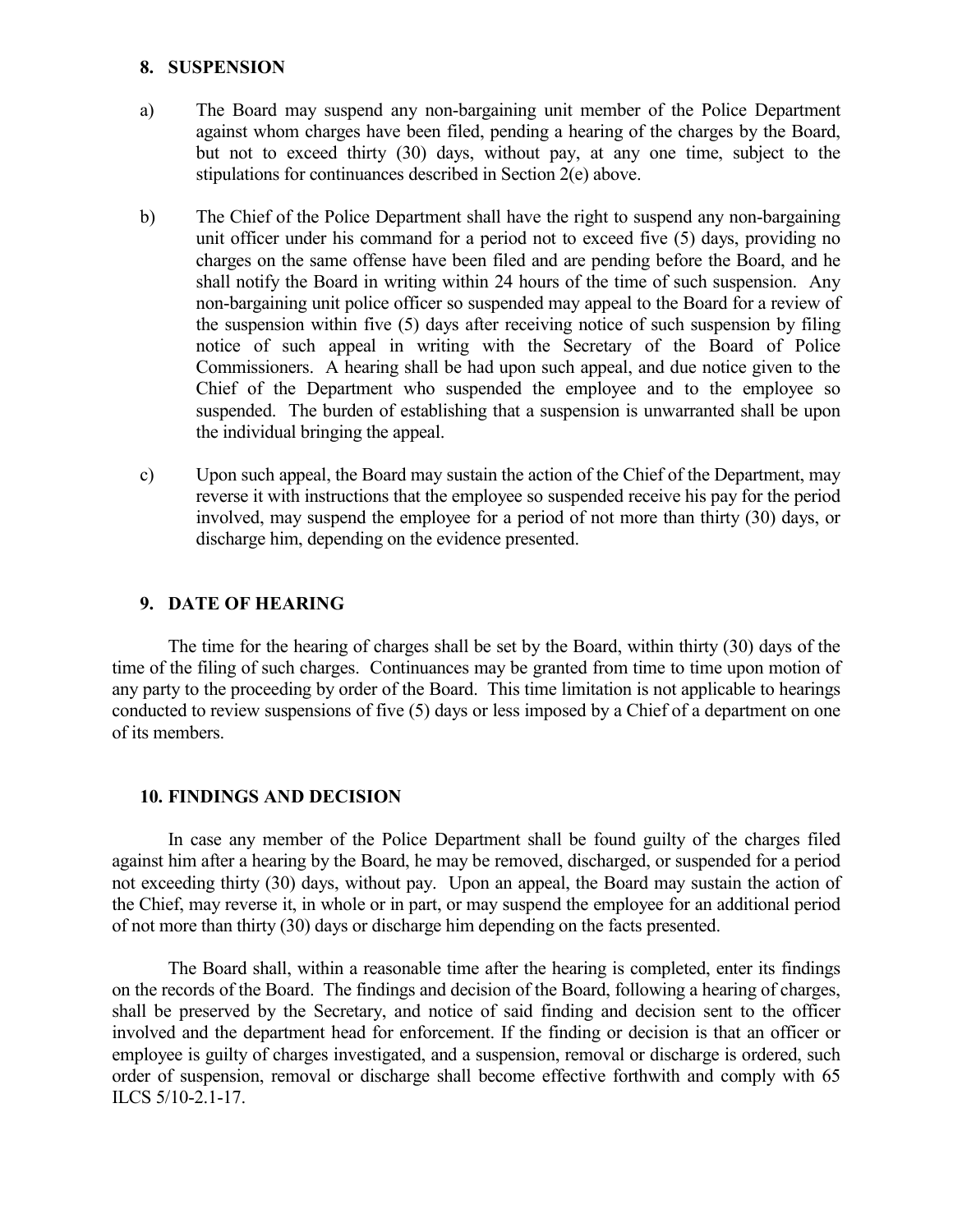#### **8. SUSPENSION**

- a) The Board may suspend any non-bargaining unit member of the Police Department against whom charges have been filed, pending a hearing of the charges by the Board, but not to exceed thirty (30) days, without pay, at any one time, subject to the stipulations for continuances described in Section 2(e) above.
- b) The Chief of the Police Department shall have the right to suspend any non-bargaining unit officer under his command for a period not to exceed five (5) days, providing no charges on the same offense have been filed and are pending before the Board, and he shall notify the Board in writing within 24 hours of the time of such suspension. Any non-bargaining unit police officer so suspended may appeal to the Board for a review of the suspension within five (5) days after receiving notice of such suspension by filing notice of such appeal in writing with the Secretary of the Board of Police Commissioners. A hearing shall be had upon such appeal, and due notice given to the Chief of the Department who suspended the employee and to the employee so suspended. The burden of establishing that a suspension is unwarranted shall be upon the individual bringing the appeal.
- c) Upon such appeal, the Board may sustain the action of the Chief of the Department, may reverse it with instructions that the employee so suspended receive his pay for the period involved, may suspend the employee for a period of not more than thirty (30) days, or discharge him, depending on the evidence presented.

## **9. DATE OF HEARING**

The time for the hearing of charges shall be set by the Board, within thirty (30) days of the time of the filing of such charges. Continuances may be granted from time to time upon motion of any party to the proceeding by order of the Board. This time limitation is not applicable to hearings conducted to review suspensions of five (5) days or less imposed by a Chief of a department on one of its members.

### **10. FINDINGS AND DECISION**

In case any member of the Police Department shall be found guilty of the charges filed against him after a hearing by the Board, he may be removed, discharged, or suspended for a period not exceeding thirty (30) days, without pay. Upon an appeal, the Board may sustain the action of the Chief, may reverse it, in whole or in part, or may suspend the employee for an additional period of not more than thirty (30) days or discharge him depending on the facts presented.

The Board shall, within a reasonable time after the hearing is completed, enter its findings on the records of the Board. The findings and decision of the Board, following a hearing of charges, shall be preserved by the Secretary, and notice of said finding and decision sent to the officer involved and the department head for enforcement. If the finding or decision is that an officer or employee is guilty of charges investigated, and a suspension, removal or discharge is ordered, such order of suspension, removal or discharge shall become effective forthwith and comply with 65 ILCS 5/10-2.1-17.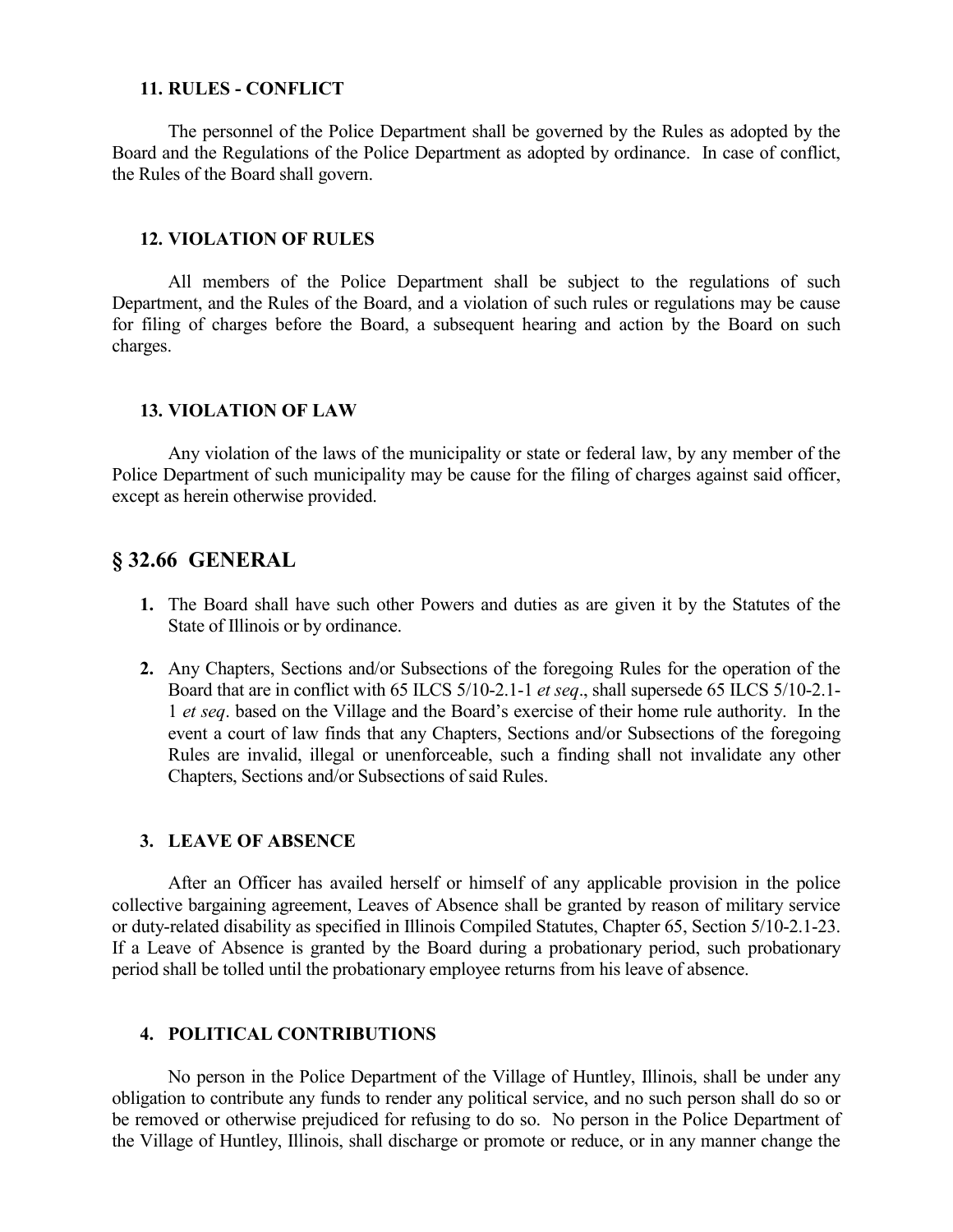#### **11. RULES - CONFLICT**

The personnel of the Police Department shall be governed by the Rules as adopted by the Board and the Regulations of the Police Department as adopted by ordinance. In case of conflict, the Rules of the Board shall govern.

#### **12. VIOLATION OF RULES**

All members of the Police Department shall be subject to the regulations of such Department, and the Rules of the Board, and a violation of such rules or regulations may be cause for filing of charges before the Board, a subsequent hearing and action by the Board on such charges.

#### **13. VIOLATION OF LAW**

Any violation of the laws of the municipality or state or federal law, by any member of the Police Department of such municipality may be cause for the filing of charges against said officer, except as herein otherwise provided.

## **§ 32.66 GENERAL**

- **1.** The Board shall have such other Powers and duties as are given it by the Statutes of the State of Illinois or by ordinance.
- **2.** Any Chapters, Sections and/or Subsections of the foregoing Rules for the operation of the Board that are in conflict with 65 ILCS 5/10-2.1-1 *et seq*., shall supersede 65 ILCS 5/10-2.1- 1 *et seq*. based on the Village and the Board's exercise of their home rule authority. In the event a court of law finds that any Chapters, Sections and/or Subsections of the foregoing Rules are invalid, illegal or unenforceable, such a finding shall not invalidate any other Chapters, Sections and/or Subsections of said Rules.

#### **3. LEAVE OF ABSENCE**

After an Officer has availed herself or himself of any applicable provision in the police collective bargaining agreement, Leaves of Absence shall be granted by reason of military service or duty-related disability as specified in Illinois Compiled Statutes, Chapter 65, Section 5/10-2.1-23. If a Leave of Absence is granted by the Board during a probationary period, such probationary period shall be tolled until the probationary employee returns from his leave of absence.

#### **4. POLITICAL CONTRIBUTIONS**

No person in the Police Department of the Village of Huntley, Illinois, shall be under any obligation to contribute any funds to render any political service, and no such person shall do so or be removed or otherwise prejudiced for refusing to do so. No person in the Police Department of the Village of Huntley, Illinois, shall discharge or promote or reduce, or in any manner change the